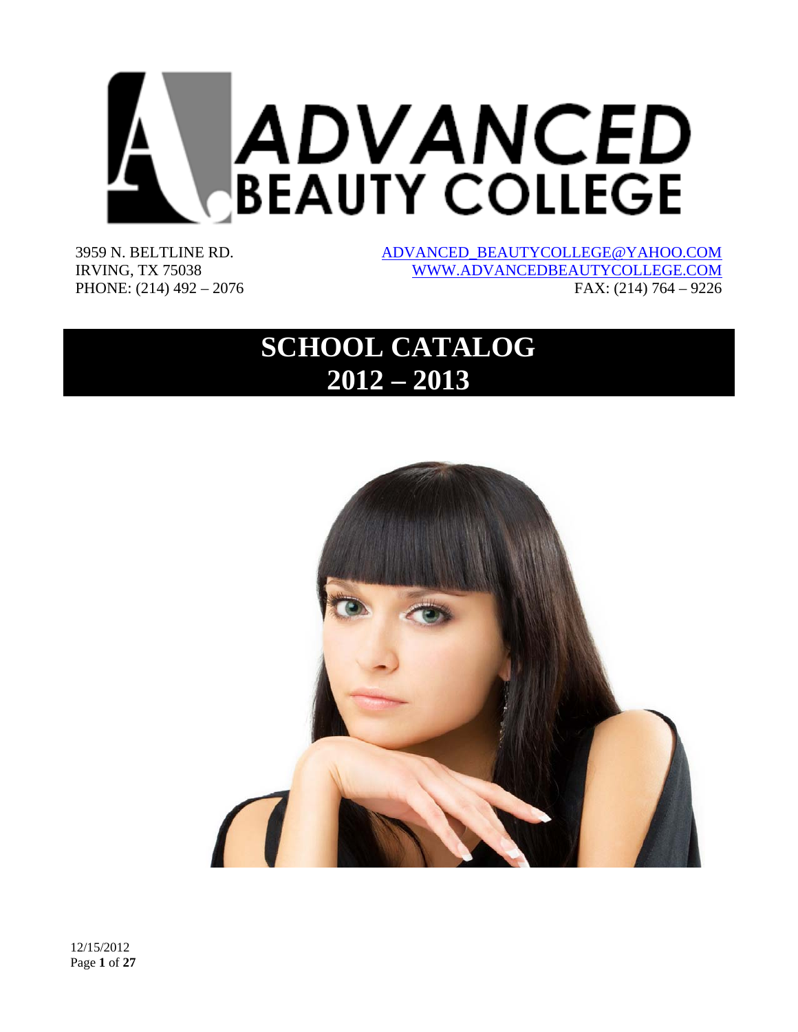

3959 N. BELTLINE RD. IRVING, TX 75038 PHONE: (214) 492 – 2076 ADVANCED\_BEAUTYCOLLEGE@YAHOO.COM WWW.ADVANCEDBEAUTYCOLLEGE.COM FAX: (214) 764 – 9226

# **SCHOOL CATALOG 2012 – 2013**

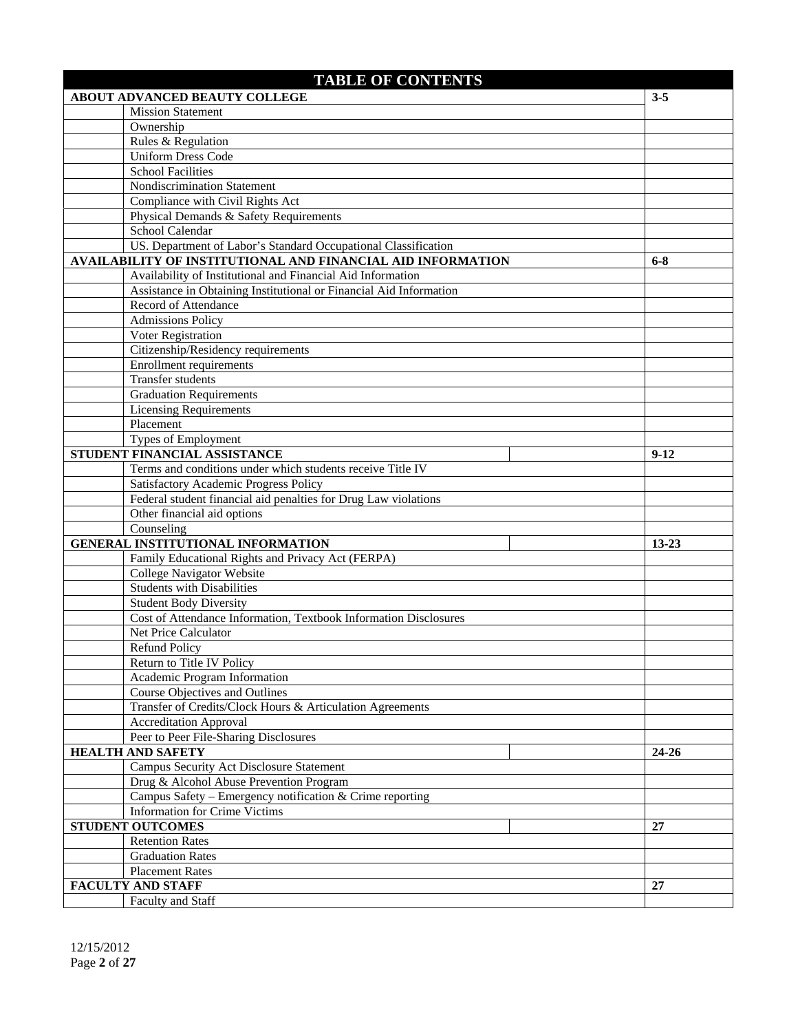| <b>TABLE OF CONTENTS</b>                                                                   |           |
|--------------------------------------------------------------------------------------------|-----------|
| <b>ABOUT ADVANCED BEAUTY COLLEGE</b>                                                       | $3 - 5$   |
| <b>Mission Statement</b>                                                                   |           |
| Ownership                                                                                  |           |
| Rules & Regulation                                                                         |           |
| <b>Uniform Dress Code</b>                                                                  |           |
| <b>School Facilities</b>                                                                   |           |
| Nondiscrimination Statement                                                                |           |
| Compliance with Civil Rights Act                                                           |           |
| Physical Demands & Safety Requirements                                                     |           |
| School Calendar                                                                            |           |
| US. Department of Labor's Standard Occupational Classification                             |           |
| AVAILABILITY OF INSTITUTIONAL AND FINANCIAL AID INFORMATION                                | $6 - 8$   |
| Availability of Institutional and Financial Aid Information                                |           |
| Assistance in Obtaining Institutional or Financial Aid Information                         |           |
| Record of Attendance                                                                       |           |
| <b>Admissions Policy</b>                                                                   |           |
| Voter Registration                                                                         |           |
| Citizenship/Residency requirements                                                         |           |
| <b>Enrollment requirements</b>                                                             |           |
| <b>Transfer students</b>                                                                   |           |
| <b>Graduation Requirements</b>                                                             |           |
| <b>Licensing Requirements</b>                                                              |           |
| Placement                                                                                  |           |
| Types of Employment                                                                        |           |
| STUDENT FINANCIAL ASSISTANCE<br>Terms and conditions under which students receive Title IV | $9-12$    |
| Satisfactory Academic Progress Policy                                                      |           |
| Federal student financial aid penalties for Drug Law violations                            |           |
| Other financial aid options                                                                |           |
| Counseling                                                                                 |           |
| <b>GENERAL INSTITUTIONAL INFORMATION</b>                                                   | $13 - 23$ |
| Family Educational Rights and Privacy Act (FERPA)                                          |           |
| College Navigator Website                                                                  |           |
| <b>Students with Disabilities</b>                                                          |           |
| <b>Student Body Diversity</b>                                                              |           |
| Cost of Attendance Information, Textbook Information Disclosures                           |           |
| Net Price Calculator                                                                       |           |
| <b>Refund Policy</b>                                                                       |           |
| Return to Title IV Policy                                                                  |           |
| Academic Program Information                                                               |           |
| Course Objectives and Outlines                                                             |           |
| Transfer of Credits/Clock Hours & Articulation Agreements                                  |           |
| <b>Accreditation Approval</b>                                                              |           |
| Peer to Peer File-Sharing Disclosures                                                      |           |
| <b>HEALTH AND SAFETY</b>                                                                   | $24 - 26$ |
| Campus Security Act Disclosure Statement                                                   |           |
| Drug & Alcohol Abuse Prevention Program                                                    |           |
| Campus Safety – Emergency notification & Crime reporting                                   |           |
| <b>Information for Crime Victims</b>                                                       |           |
| <b>STUDENT OUTCOMES</b>                                                                    | 27        |
| <b>Retention Rates</b>                                                                     |           |
| <b>Graduation Rates</b>                                                                    |           |
| <b>Placement Rates</b>                                                                     |           |
| <b>FACULTY AND STAFF</b>                                                                   | 27        |
| Faculty and Staff                                                                          |           |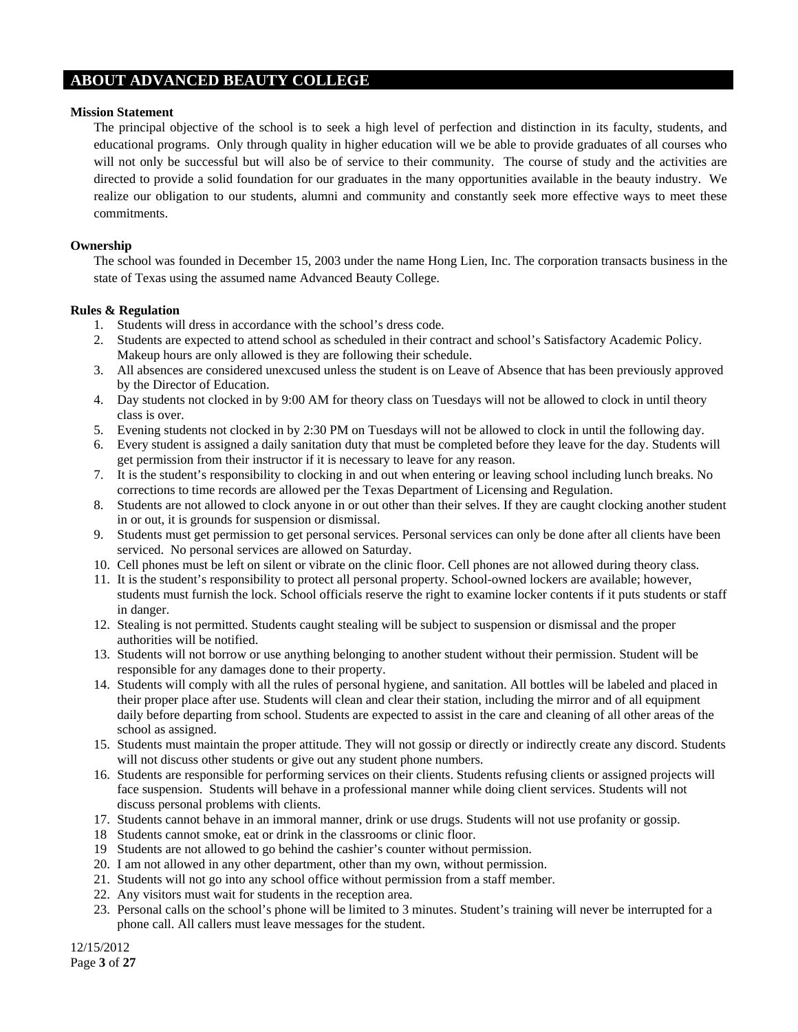# **ABOUT ADVANCED BEAUTY COLLEGE**

#### **Mission Statement**

The principal objective of the school is to seek a high level of perfection and distinction in its faculty, students, and educational programs. Only through quality in higher education will we be able to provide graduates of all courses who will not only be successful but will also be of service to their community. The course of study and the activities are directed to provide a solid foundation for our graduates in the many opportunities available in the beauty industry. We realize our obligation to our students, alumni and community and constantly seek more effective ways to meet these commitments.

# **Ownership**

The school was founded in December 15, 2003 under the name Hong Lien, Inc. The corporation transacts business in the state of Texas using the assumed name Advanced Beauty College.

#### **Rules & Regulation**

- 1. Students will dress in accordance with the school's dress code.
- 2. Students are expected to attend school as scheduled in their contract and school's Satisfactory Academic Policy. Makeup hours are only allowed is they are following their schedule.
- 3. All absences are considered unexcused unless the student is on Leave of Absence that has been previously approved by the Director of Education.
- 4. Day students not clocked in by 9:00 AM for theory class on Tuesdays will not be allowed to clock in until theory class is over.
- 5. Evening students not clocked in by 2:30 PM on Tuesdays will not be allowed to clock in until the following day.
- 6. Every student is assigned a daily sanitation duty that must be completed before they leave for the day. Students will get permission from their instructor if it is necessary to leave for any reason.
- 7. It is the student's responsibility to clocking in and out when entering or leaving school including lunch breaks. No corrections to time records are allowed per the Texas Department of Licensing and Regulation.
- 8. Students are not allowed to clock anyone in or out other than their selves. If they are caught clocking another student in or out, it is grounds for suspension or dismissal.
- 9. Students must get permission to get personal services. Personal services can only be done after all clients have been serviced. No personal services are allowed on Saturday.
- 10. Cell phones must be left on silent or vibrate on the clinic floor. Cell phones are not allowed during theory class.
- 11. It is the student's responsibility to protect all personal property. School-owned lockers are available; however, students must furnish the lock. School officials reserve the right to examine locker contents if it puts students or staff in danger.
- 12. Stealing is not permitted. Students caught stealing will be subject to suspension or dismissal and the proper authorities will be notified.
- 13. Students will not borrow or use anything belonging to another student without their permission. Student will be responsible for any damages done to their property.
- 14. Students will comply with all the rules of personal hygiene, and sanitation. All bottles will be labeled and placed in their proper place after use. Students will clean and clear their station, including the mirror and of all equipment daily before departing from school. Students are expected to assist in the care and cleaning of all other areas of the school as assigned.
- 15. Students must maintain the proper attitude. They will not gossip or directly or indirectly create any discord. Students will not discuss other students or give out any student phone numbers.
- 16. Students are responsible for performing services on their clients. Students refusing clients or assigned projects will face suspension. Students will behave in a professional manner while doing client services. Students will not discuss personal problems with clients.
- 17. Students cannot behave in an immoral manner, drink or use drugs. Students will not use profanity or gossip.
- 18 Students cannot smoke, eat or drink in the classrooms or clinic floor.
- 19 Students are not allowed to go behind the cashier's counter without permission.
- 20. I am not allowed in any other department, other than my own, without permission.
- 21. Students will not go into any school office without permission from a staff member.
- 22. Any visitors must wait for students in the reception area.
- 23. Personal calls on the school's phone will be limited to 3 minutes. Student's training will never be interrupted for a phone call. All callers must leave messages for the student.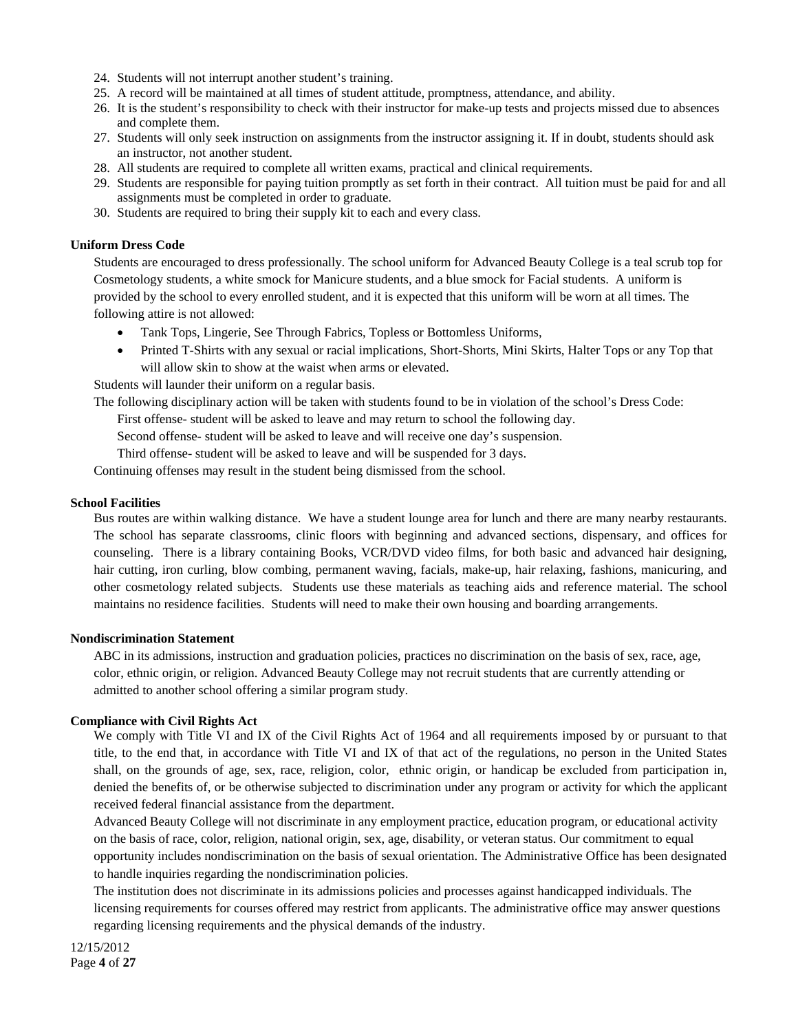- 24. Students will not interrupt another student's training.
- 25. A record will be maintained at all times of student attitude, promptness, attendance, and ability.
- 26. It is the student's responsibility to check with their instructor for make-up tests and projects missed due to absences and complete them.
- 27. Students will only seek instruction on assignments from the instructor assigning it. If in doubt, students should ask an instructor, not another student.
- 28. All students are required to complete all written exams, practical and clinical requirements.
- 29. Students are responsible for paying tuition promptly as set forth in their contract. All tuition must be paid for and all assignments must be completed in order to graduate.
- 30. Students are required to bring their supply kit to each and every class.

#### **Uniform Dress Code**

Students are encouraged to dress professionally. The school uniform for Advanced Beauty College is a teal scrub top for Cosmetology students, a white smock for Manicure students, and a blue smock for Facial students. A uniform is provided by the school to every enrolled student, and it is expected that this uniform will be worn at all times. The following attire is not allowed:

- Tank Tops, Lingerie, See Through Fabrics, Topless or Bottomless Uniforms,
- Printed T-Shirts with any sexual or racial implications, Short-Shorts, Mini Skirts, Halter Tops or any Top that will allow skin to show at the waist when arms or elevated.

Students will launder their uniform on a regular basis.

The following disciplinary action will be taken with students found to be in violation of the school's Dress Code:

First offense- student will be asked to leave and may return to school the following day.

Second offense- student will be asked to leave and will receive one day's suspension.

Third offense- student will be asked to leave and will be suspended for 3 days.

Continuing offenses may result in the student being dismissed from the school.

#### **School Facilities**

Bus routes are within walking distance. We have a student lounge area for lunch and there are many nearby restaurants. The school has separate classrooms, clinic floors with beginning and advanced sections, dispensary, and offices for counseling. There is a library containing Books, VCR/DVD video films, for both basic and advanced hair designing, hair cutting, iron curling, blow combing, permanent waving, facials, make-up, hair relaxing, fashions, manicuring, and other cosmetology related subjects. Students use these materials as teaching aids and reference material. The school maintains no residence facilities. Students will need to make their own housing and boarding arrangements.

#### **Nondiscrimination Statement**

ABC in its admissions, instruction and graduation policies, practices no discrimination on the basis of sex, race, age, color, ethnic origin, or religion. Advanced Beauty College may not recruit students that are currently attending or admitted to another school offering a similar program study.

# **Compliance with Civil Rights Act**

We comply with Title VI and IX of the Civil Rights Act of 1964 and all requirements imposed by or pursuant to that title, to the end that, in accordance with Title VI and IX of that act of the regulations, no person in the United States shall, on the grounds of age, sex, race, religion, color, ethnic origin, or handicap be excluded from participation in, denied the benefits of, or be otherwise subjected to discrimination under any program or activity for which the applicant received federal financial assistance from the department.

Advanced Beauty College will not discriminate in any employment practice, education program, or educational activity on the basis of race, color, religion, national origin, sex, age, disability, or veteran status. Our commitment to equal opportunity includes nondiscrimination on the basis of sexual orientation. The Administrative Office has been designated to handle inquiries regarding the nondiscrimination policies.

The institution does not discriminate in its admissions policies and processes against handicapped individuals. The licensing requirements for courses offered may restrict from applicants. The administrative office may answer questions regarding licensing requirements and the physical demands of the industry.

12/15/2012 Page **4** of **27**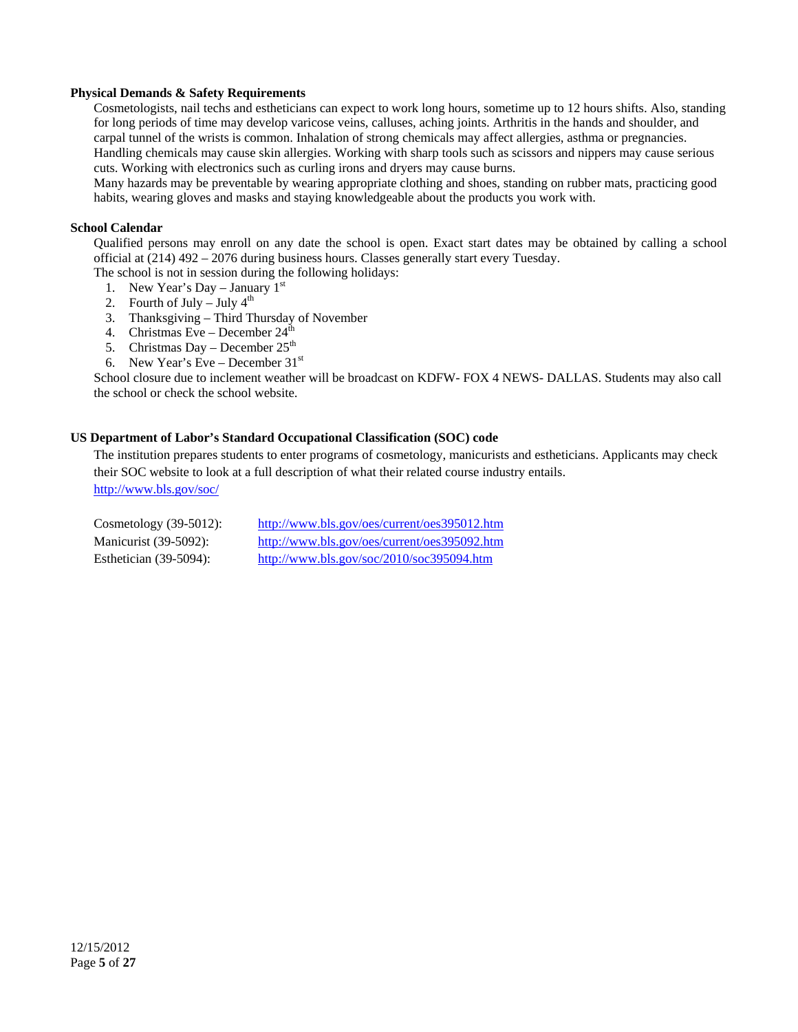# **Physical Demands & Safety Requirements**

Cosmetologists, nail techs and estheticians can expect to work long hours, sometime up to 12 hours shifts. Also, standing for long periods of time may develop varicose veins, calluses, aching joints. Arthritis in the hands and shoulder, and carpal tunnel of the wrists is common. Inhalation of strong chemicals may affect allergies, asthma or pregnancies. Handling chemicals may cause skin allergies. Working with sharp tools such as scissors and nippers may cause serious cuts. Working with electronics such as curling irons and dryers may cause burns.

Many hazards may be preventable by wearing appropriate clothing and shoes, standing on rubber mats, practicing good habits, wearing gloves and masks and staying knowledgeable about the products you work with.

## **School Calendar**

Qualified persons may enroll on any date the school is open. Exact start dates may be obtained by calling a school official at (214) 492 – 2076 during business hours. Classes generally start every Tuesday.

The school is not in session during the following holidays:

- 1. New Year's Day January  $1<sup>st</sup>$
- 2. Fourth of July July  $4<sup>th</sup>$
- 3. Thanksgiving Third Thursday of November
- 4. Christmas Eve December  $24<sup>th</sup>$
- 5. Christmas Day December  $25<sup>th</sup>$
- 6. New Year's Eve December  $31<sup>st</sup>$

School closure due to inclement weather will be broadcast on KDFW- FOX 4 NEWS- DALLAS. Students may also call the school or check the school website.

## **US Department of Labor's Standard Occupational Classification (SOC) code**

The institution prepares students to enter programs of cosmetology, manicurists and estheticians. Applicants may check their SOC website to look at a full description of what their related course industry entails. http://www.bls.gov/soc/

| Cosmetology $(39-5012)$ : | http://www.bls.gov/oes/current/oes395012.htm                                                  |
|---------------------------|-----------------------------------------------------------------------------------------------|
| Manicurist (39-5092):     | http://www.bls.gov/oes/current/oes395092.htm                                                  |
| Esthetician $(39-5094)$ : | $\frac{http://www.bls.gov/soc/2010/soc395094.htm}{http://www.bls.gov/soc/2010/soc395094.htm}$ |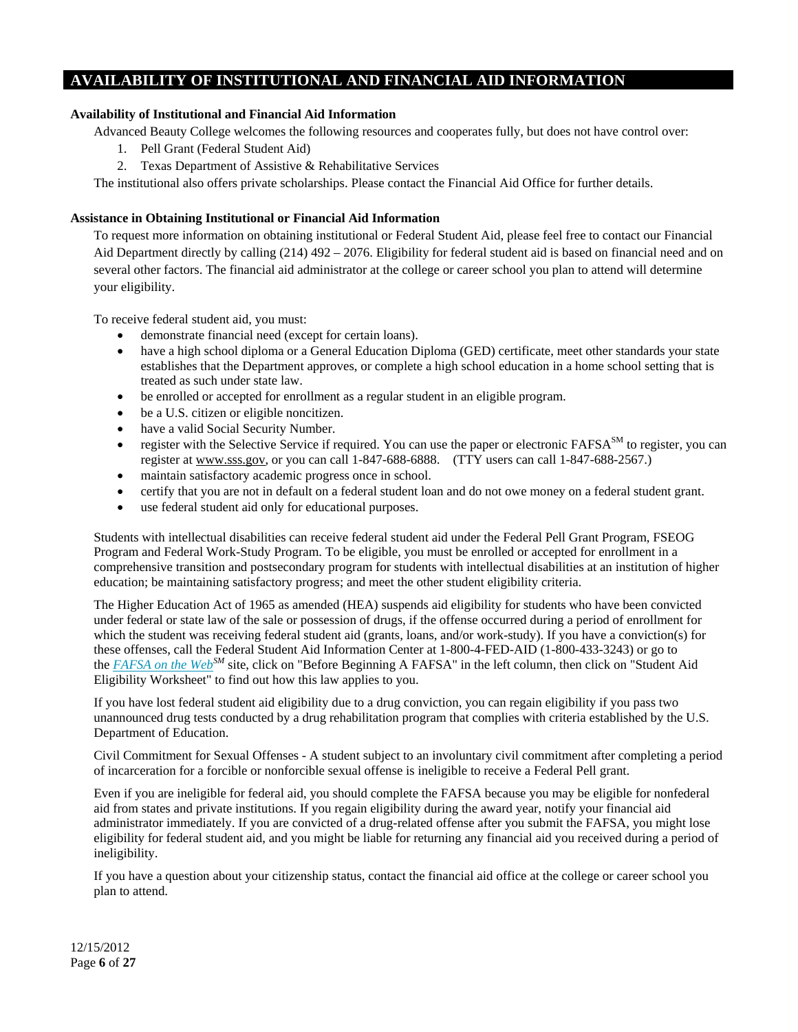# **AVAILABILITY OF INSTITUTIONAL AND FINANCIAL AID INFORMATION**

# **Availability of Institutional and Financial Aid Information**

Advanced Beauty College welcomes the following resources and cooperates fully, but does not have control over:

- 1. Pell Grant (Federal Student Aid)
- 2. Texas Department of Assistive & Rehabilitative Services

The institutional also offers private scholarships. Please contact the Financial Aid Office for further details.

# **Assistance in Obtaining Institutional or Financial Aid Information**

To request more information on obtaining institutional or Federal Student Aid, please feel free to contact our Financial Aid Department directly by calling (214) 492 – 2076. Eligibility for federal student aid is based on financial need and on several other factors. The financial aid administrator at the college or career school you plan to attend will determine your eligibility.

To receive federal student aid, you must:

- demonstrate financial need (except for certain loans).
- have a high school diploma or a General Education Diploma (GED) certificate, meet other standards your state establishes that the Department approves, or complete a high school education in a home school setting that is treated as such under state law.
- be enrolled or accepted for enrollment as a regular student in an eligible program.
- be a U.S. citizen or eligible noncitizen.
- have a valid Social Security Number.
- register with the Selective Service if required. You can use the paper or electronic  $FAFSA<sup>SM</sup>$  to register, you can register at www.sss.gov, or you can call 1-847-688-6888. (TTY users can call 1-847-688-2567.)
- maintain satisfactory academic progress once in school.
- certify that you are not in default on a federal student loan and do not owe money on a federal student grant.
- use federal student aid only for educational purposes.

Students with intellectual disabilities can receive federal student aid under the Federal Pell Grant Program, FSEOG Program and Federal Work-Study Program. To be eligible, you must be enrolled or accepted for enrollment in a comprehensive transition and postsecondary program for students with intellectual disabilities at an institution of higher education; be maintaining satisfactory progress; and meet the other student eligibility criteria.

The Higher Education Act of 1965 as amended (HEA) suspends aid eligibility for students who have been convicted under federal or state law of the sale or possession of drugs, if the offense occurred during a period of enrollment for which the student was receiving federal student aid (grants, loans, and/or work-study). If you have a conviction(s) for these offenses, call the Federal Student Aid Information Center at 1-800-4-FED-AID (1-800-433-3243) or go to the *FAFSA on the WebSM* site, click on "Before Beginning A FAFSA" in the left column, then click on "Student Aid Eligibility Worksheet" to find out how this law applies to you.

If you have lost federal student aid eligibility due to a drug conviction, you can regain eligibility if you pass two unannounced drug tests conducted by a drug rehabilitation program that complies with criteria established by the U.S. Department of Education.

Civil Commitment for Sexual Offenses - A student subject to an involuntary civil commitment after completing a period of incarceration for a forcible or nonforcible sexual offense is ineligible to receive a Federal Pell grant.

Even if you are ineligible for federal aid, you should complete the FAFSA because you may be eligible for nonfederal aid from states and private institutions. If you regain eligibility during the award year, notify your financial aid administrator immediately. If you are convicted of a drug-related offense after you submit the FAFSA, you might lose eligibility for federal student aid, and you might be liable for returning any financial aid you received during a period of ineligibility.

If you have a question about your citizenship status, contact the financial aid office at the college or career school you plan to attend.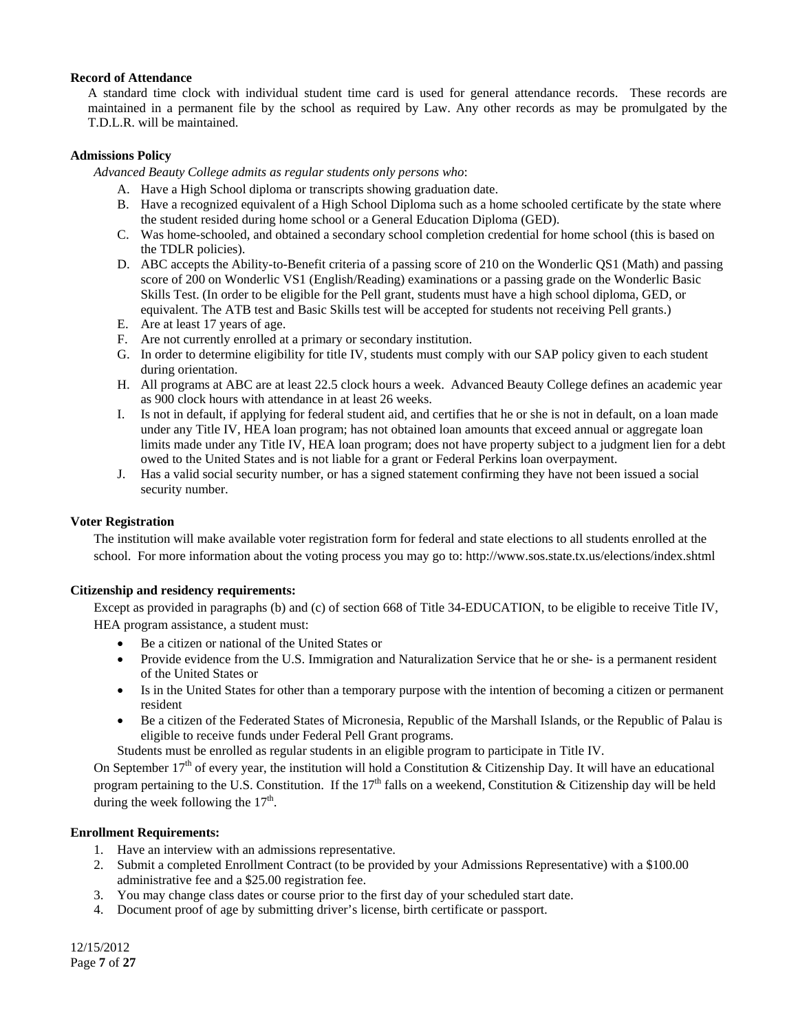#### **Record of Attendance**

A standard time clock with individual student time card is used for general attendance records. These records are maintained in a permanent file by the school as required by Law. Any other records as may be promulgated by the T.D.L.R. will be maintained.

## **Admissions Policy**

*Advanced Beauty College admits as regular students only persons who*:

- A. Have a High School diploma or transcripts showing graduation date.
- B. Have a recognized equivalent of a High School Diploma such as a home schooled certificate by the state where the student resided during home school or a General Education Diploma (GED).
- C. Was home-schooled, and obtained a secondary school completion credential for home school (this is based on the TDLR policies).
- D. ABC accepts the Ability-to-Benefit criteria of a passing score of 210 on the Wonderlic QS1 (Math) and passing score of 200 on Wonderlic VS1 (English/Reading) examinations or a passing grade on the Wonderlic Basic Skills Test. (In order to be eligible for the Pell grant, students must have a high school diploma, GED, or equivalent. The ATB test and Basic Skills test will be accepted for students not receiving Pell grants.)
- E. Are at least 17 years of age.
- F. Are not currently enrolled at a primary or secondary institution.
- G. In order to determine eligibility for title IV, students must comply with our SAP policy given to each student during orientation.
- H. All programs at ABC are at least 22.5 clock hours a week. Advanced Beauty College defines an academic year as 900 clock hours with attendance in at least 26 weeks.
- I. Is not in default, if applying for federal student aid, and certifies that he or she is not in default, on a loan made under any Title IV, HEA loan program; has not obtained loan amounts that exceed annual or aggregate loan limits made under any Title IV, HEA loan program; does not have property subject to a judgment lien for a debt owed to the United States and is not liable for a grant or Federal Perkins loan overpayment.
- J. Has a valid social security number, or has a signed statement confirming they have not been issued a social security number.

## **Voter Registration**

The institution will make available voter registration form for federal and state elections to all students enrolled at the school. For more information about the voting process you may go to: http://www.sos.state.tx.us/elections/index.shtml

# **Citizenship and residency requirements:**

Except as provided in paragraphs (b) and (c) of section 668 of Title 34-EDUCATION, to be eligible to receive Title IV, HEA program assistance, a student must:

- Be a citizen or national of the United States or
- Provide evidence from the U.S. Immigration and Naturalization Service that he or she- is a permanent resident of the United States or
- Is in the United States for other than a temporary purpose with the intention of becoming a citizen or permanent resident
- Be a citizen of the Federated States of Micronesia, Republic of the Marshall Islands, or the Republic of Palau is eligible to receive funds under Federal Pell Grant programs.

Students must be enrolled as regular students in an eligible program to participate in Title IV.

On September  $17<sup>th</sup>$  of every year, the institution will hold a Constitution & Citizenship Day. It will have an educational program pertaining to the U.S. Constitution. If the  $17<sup>th</sup>$  falls on a weekend, Constitution & Citizenship day will be held during the week following the  $17<sup>th</sup>$ .

#### **Enrollment Requirements:**

- 1. Have an interview with an admissions representative.
- 2. Submit a completed Enrollment Contract (to be provided by your Admissions Representative) with a \$100.00 administrative fee and a \$25.00 registration fee.
- 3. You may change class dates or course prior to the first day of your scheduled start date.
- 4. Document proof of age by submitting driver's license, birth certificate or passport.

12/15/2012 Page **7** of **27**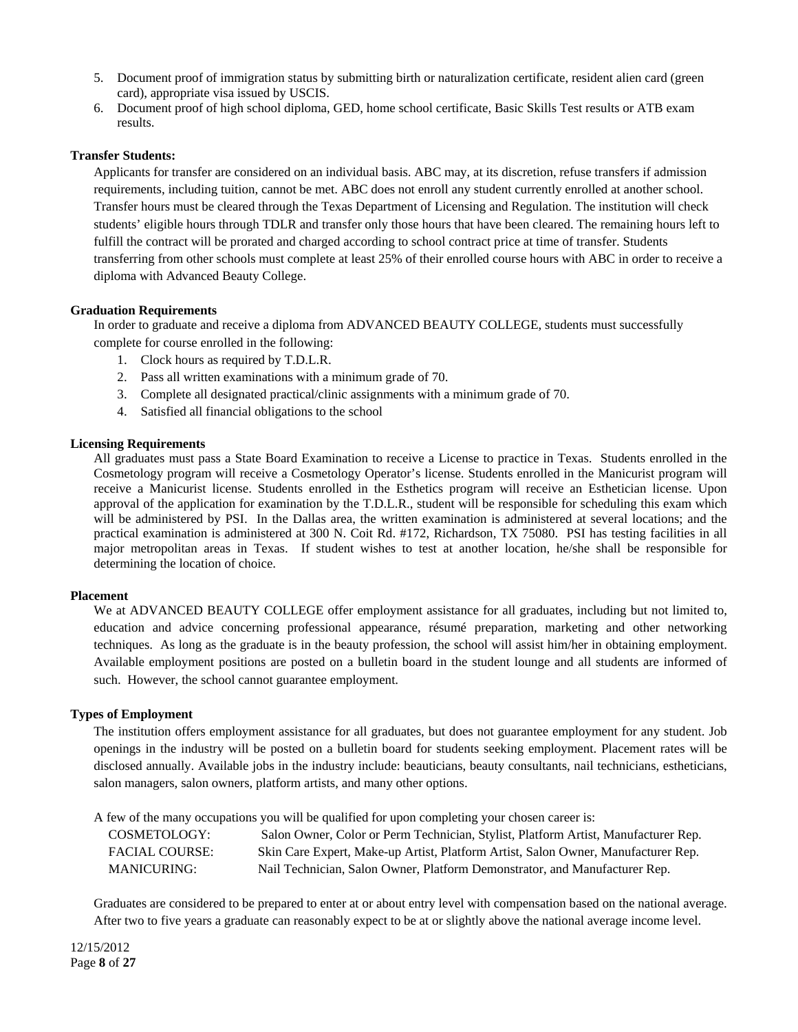- 5. Document proof of immigration status by submitting birth or naturalization certificate, resident alien card (green card), appropriate visa issued by USCIS.
- 6. Document proof of high school diploma, GED, home school certificate, Basic Skills Test results or ATB exam results.

#### **Transfer Students:**

Applicants for transfer are considered on an individual basis. ABC may, at its discretion, refuse transfers if admission requirements, including tuition, cannot be met. ABC does not enroll any student currently enrolled at another school. Transfer hours must be cleared through the Texas Department of Licensing and Regulation. The institution will check students' eligible hours through TDLR and transfer only those hours that have been cleared. The remaining hours left to fulfill the contract will be prorated and charged according to school contract price at time of transfer. Students transferring from other schools must complete at least 25% of their enrolled course hours with ABC in order to receive a diploma with Advanced Beauty College.

#### **Graduation Requirements**

In order to graduate and receive a diploma from ADVANCED BEAUTY COLLEGE, students must successfully complete for course enrolled in the following:

- 1. Clock hours as required by T.D.L.R.
- 2. Pass all written examinations with a minimum grade of 70.
- 3. Complete all designated practical/clinic assignments with a minimum grade of 70.
- 4. Satisfied all financial obligations to the school

#### **Licensing Requirements**

All graduates must pass a State Board Examination to receive a License to practice in Texas. Students enrolled in the Cosmetology program will receive a Cosmetology Operator's license. Students enrolled in the Manicurist program will receive a Manicurist license. Students enrolled in the Esthetics program will receive an Esthetician license. Upon approval of the application for examination by the T.D.L.R., student will be responsible for scheduling this exam which will be administered by PSI. In the Dallas area, the written examination is administered at several locations; and the practical examination is administered at 300 N. Coit Rd. #172, Richardson, TX 75080. PSI has testing facilities in all major metropolitan areas in Texas. If student wishes to test at another location, he/she shall be responsible for determining the location of choice.

#### **Placement**

We at ADVANCED BEAUTY COLLEGE offer employment assistance for all graduates, including but not limited to, education and advice concerning professional appearance, résumé preparation, marketing and other networking techniques. As long as the graduate is in the beauty profession, the school will assist him/her in obtaining employment. Available employment positions are posted on a bulletin board in the student lounge and all students are informed of such. However, the school cannot guarantee employment.

#### **Types of Employment**

The institution offers employment assistance for all graduates, but does not guarantee employment for any student. Job openings in the industry will be posted on a bulletin board for students seeking employment. Placement rates will be disclosed annually. Available jobs in the industry include: beauticians, beauty consultants, nail technicians, estheticians, salon managers, salon owners, platform artists, and many other options.

A few of the many occupations you will be qualified for upon completing your chosen career is:

| COSMETOLOGY:          | Salon Owner, Color or Perm Technician, Stylist, Platform Artist, Manufacturer Rep. |
|-----------------------|------------------------------------------------------------------------------------|
| <b>FACIAL COURSE:</b> | Skin Care Expert, Make-up Artist, Platform Artist, Salon Owner, Manufacturer Rep.  |
| <b>MANICURING:</b>    | Nail Technician, Salon Owner, Platform Demonstrator, and Manufacturer Rep.         |

Graduates are considered to be prepared to enter at or about entry level with compensation based on the national average. After two to five years a graduate can reasonably expect to be at or slightly above the national average income level.

12/15/2012 Page **8** of **27**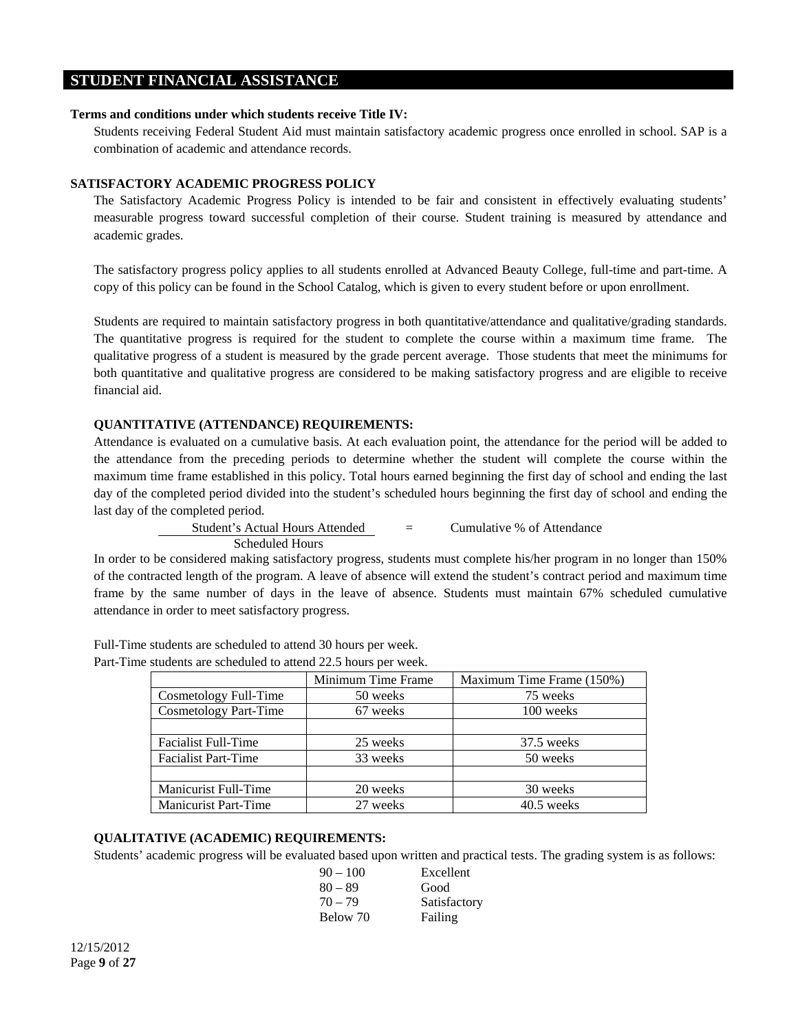# **STUDENT FINANCIAL ASSISTANCE**

## **Terms and conditions under which students receive Title IV:**

Students receiving Federal Student Aid must maintain satisfactory academic progress once enrolled in school. SAP is a combination of academic and attendance records.

# **SATISFACTORY ACADEMIC PROGRESS POLICY**

The Satisfactory Academic Progress Policy is intended to be fair and consistent in effectively evaluating students' measurable progress toward successful completion of their course. Student training is measured by attendance and academic grades.

The satisfactory progress policy applies to all students enrolled at Advanced Beauty College, full-time and part-time. A copy of this policy can be found in the School Catalog, which is given to every student before or upon enrollment.

Students are required to maintain satisfactory progress in both quantitative/attendance and qualitative/grading standards. The quantitative progress is required for the student to complete the course within a maximum time frame. The qualitative progress of a student is measured by the grade percent average. Those students that meet the minimums for both quantitative and qualitative progress are considered to be making satisfactory progress and are eligible to receive financial aid.

# **QUANTITATIVE (ATTENDANCE) REQUIREMENTS:**

Attendance is evaluated on a cumulative basis. At each evaluation point, the attendance for the period will be added to the attendance from the preceding periods to determine whether the student will complete the course within the maximum time frame established in this policy. Total hours earned beginning the first day of school and ending the last day of the completed period divided into the student's scheduled hours beginning the first day of school and ending the last day of the completed period.

> Student's Actual Hours Attended = Cumulative % of Attendance Scheduled Hours

In order to be considered making satisfactory progress, students must complete his/her program in no longer than 150% of the contracted length of the program. A leave of absence will extend the student's contract period and maximum time frame by the same number of days in the leave of absence. Students must maintain 67% scheduled cumulative attendance in order to meet satisfactory progress.

| $\epsilon$ statemes are sencement to attend $\epsilon$ 22.9 notify per week. |                    |                           |
|------------------------------------------------------------------------------|--------------------|---------------------------|
|                                                                              | Minimum Time Frame | Maximum Time Frame (150%) |
| Cosmetology Full-Time                                                        | 50 weeks           | 75 weeks                  |
| Cosmetology Part-Time                                                        | 67 weeks           | 100 weeks                 |
|                                                                              |                    |                           |
| <b>Facialist Full-Time</b>                                                   | 25 weeks           | 37.5 weeks                |
| <b>Facialist Part-Time</b>                                                   | 33 weeks           | 50 weeks                  |
|                                                                              |                    |                           |
| Manicurist Full-Time                                                         | 20 weeks           | 30 weeks                  |
| <b>Manicurist Part-Time</b>                                                  | 27 weeks           | $40.5$ weeks              |

Full-Time students are scheduled to attend 30 hours per week. Part-Time students are scheduled to attend 22.5 hours per week.

#### **QUALITATIVE (ACADEMIC) REQUIREMENTS:**

Students' academic progress will be evaluated based upon written and practical tests. The grading system is as follows:

| Excellent    |
|--------------|
| Good         |
| Satisfactory |
| Failing      |
|              |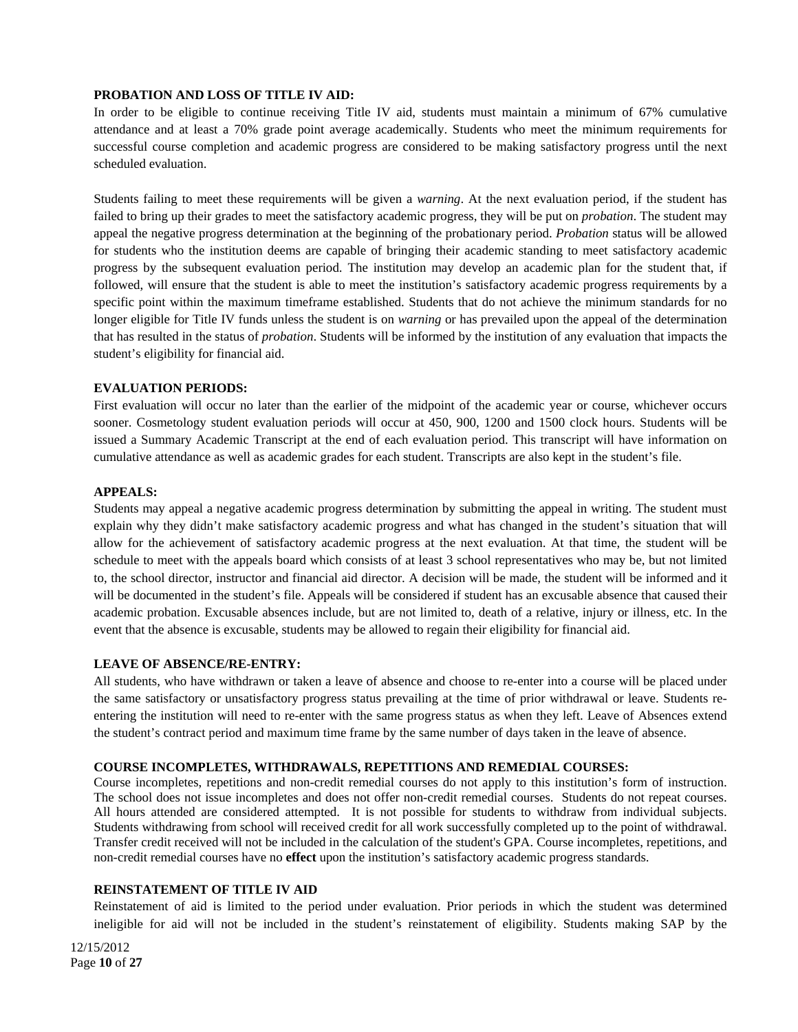#### **PROBATION AND LOSS OF TITLE IV AID:**

In order to be eligible to continue receiving Title IV aid, students must maintain a minimum of 67% cumulative attendance and at least a 70% grade point average academically. Students who meet the minimum requirements for successful course completion and academic progress are considered to be making satisfactory progress until the next scheduled evaluation.

Students failing to meet these requirements will be given a *warning*. At the next evaluation period, if the student has failed to bring up their grades to meet the satisfactory academic progress, they will be put on *probation*. The student may appeal the negative progress determination at the beginning of the probationary period. *Probation* status will be allowed for students who the institution deems are capable of bringing their academic standing to meet satisfactory academic progress by the subsequent evaluation period. The institution may develop an academic plan for the student that, if followed, will ensure that the student is able to meet the institution's satisfactory academic progress requirements by a specific point within the maximum timeframe established. Students that do not achieve the minimum standards for no longer eligible for Title IV funds unless the student is on *warning* or has prevailed upon the appeal of the determination that has resulted in the status of *probation*. Students will be informed by the institution of any evaluation that impacts the student's eligibility for financial aid.

# **EVALUATION PERIODS:**

First evaluation will occur no later than the earlier of the midpoint of the academic year or course, whichever occurs sooner. Cosmetology student evaluation periods will occur at 450, 900, 1200 and 1500 clock hours. Students will be issued a Summary Academic Transcript at the end of each evaluation period. This transcript will have information on cumulative attendance as well as academic grades for each student. Transcripts are also kept in the student's file.

#### **APPEALS:**

Students may appeal a negative academic progress determination by submitting the appeal in writing. The student must explain why they didn't make satisfactory academic progress and what has changed in the student's situation that will allow for the achievement of satisfactory academic progress at the next evaluation. At that time, the student will be schedule to meet with the appeals board which consists of at least 3 school representatives who may be, but not limited to, the school director, instructor and financial aid director. A decision will be made, the student will be informed and it will be documented in the student's file. Appeals will be considered if student has an excusable absence that caused their academic probation. Excusable absences include, but are not limited to, death of a relative, injury or illness, etc. In the event that the absence is excusable, students may be allowed to regain their eligibility for financial aid.

#### **LEAVE OF ABSENCE/RE-ENTRY:**

All students, who have withdrawn or taken a leave of absence and choose to re-enter into a course will be placed under the same satisfactory or unsatisfactory progress status prevailing at the time of prior withdrawal or leave. Students reentering the institution will need to re-enter with the same progress status as when they left. Leave of Absences extend the student's contract period and maximum time frame by the same number of days taken in the leave of absence.

#### **COURSE INCOMPLETES, WITHDRAWALS, REPETITIONS AND REMEDIAL COURSES:**

Course incompletes, repetitions and non-credit remedial courses do not apply to this institution's form of instruction. The school does not issue incompletes and does not offer non-credit remedial courses. Students do not repeat courses. All hours attended are considered attempted. It is not possible for students to withdraw from individual subjects. Students withdrawing from school will received credit for all work successfully completed up to the point of withdrawal. Transfer credit received will not be included in the calculation of the student's GPA. Course incompletes, repetitions, and non-credit remedial courses have no **effect** upon the institution's satisfactory academic progress standards.

#### **REINSTATEMENT OF TITLE IV AID**

Reinstatement of aid is limited to the period under evaluation. Prior periods in which the student was determined ineligible for aid will not be included in the student's reinstatement of eligibility. Students making SAP by the

12/15/2012 Page **10** of **27**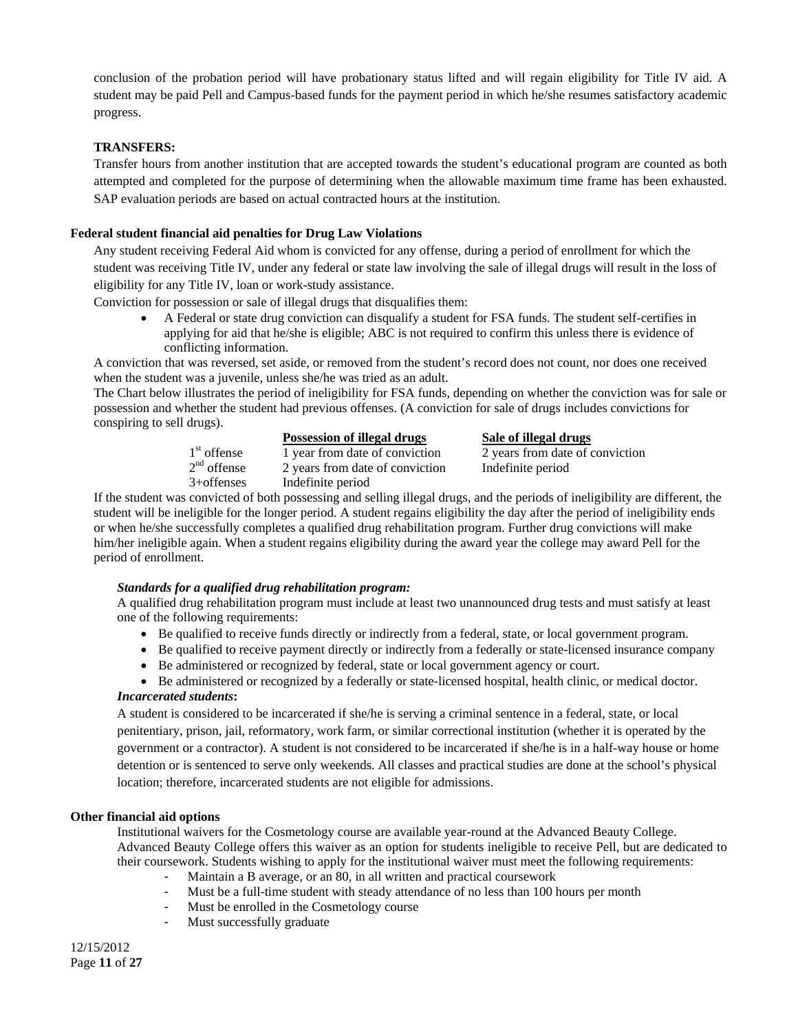conclusion of the probation period will have probationary status lifted and will regain eligibility for Title IV aid. A student may be paid Pell and Campus-based funds for the payment period in which he/she resumes satisfactory academic progress.

# **TRANSFERS:**

Transfer hours from another institution that are accepted towards the student's educational program are counted as both attempted and completed for the purpose of determining when the allowable maximum time frame has been exhausted. SAP evaluation periods are based on actual contracted hours at the institution.

## **Federal student financial aid penalties for Drug Law Violations**

Any student receiving Federal Aid whom is convicted for any offense, during a period of enrollment for which the student was receiving Title IV, under any federal or state law involving the sale of illegal drugs will result in the loss of eligibility for any Title IV, loan or work-study assistance.

Conviction for possession or sale of illegal drugs that disqualifies them:

• A Federal or state drug conviction can disqualify a student for FSA funds. The student self-certifies in applying for aid that he/she is eligible; ABC is not required to confirm this unless there is evidence of conflicting information.

A conviction that was reversed, set aside, or removed from the student's record does not count, nor does one received when the student was a juvenile, unless she/he was tried as an adult.

The Chart below illustrates the period of ineligibility for FSA funds, depending on whether the conviction was for sale or possession and whether the student had previous offenses. (A conviction for sale of drugs includes convictions for conspiring to sell drugs).

|               | Possession of illegal drugs     | Sale of illegal drugs           |
|---------------|---------------------------------|---------------------------------|
| $1st$ offense | 1 year from date of conviction  | 2 years from date of conviction |
| $2nd$ offense | 2 years from date of conviction | Indefinite period               |
| $3+$ offenses | Indefinite period               |                                 |

If the student was convicted of both possessing and selling illegal drugs, and the periods of ineligibility are different, the student will be ineligible for the longer period. A student regains eligibility the day after the period of ineligibility ends or when he/she successfully completes a qualified drug rehabilitation program. Further drug convictions will make him/her ineligible again. When a student regains eligibility during the award year the college may award Pell for the period of enrollment.

#### *Standards for a qualified drug rehabilitation program:*

A qualified drug rehabilitation program must include at least two unannounced drug tests and must satisfy at least one of the following requirements:

- Be qualified to receive funds directly or indirectly from a federal, state, or local government program.
- Be qualified to receive payment directly or indirectly from a federally or state-licensed insurance company
- Be administered or recognized by federal, state or local government agency or court.

• Be administered or recognized by a federally or state-licensed hospital, health clinic, or medical doctor. *Incarcerated students***:** 

A student is considered to be incarcerated if she/he is serving a criminal sentence in a federal, state, or local penitentiary, prison, jail, reformatory, work farm, or similar correctional institution (whether it is operated by the government or a contractor). A student is not considered to be incarcerated if she/he is in a half-way house or home detention or is sentenced to serve only weekends. All classes and practical studies are done at the school's physical location; therefore, incarcerated students are not eligible for admissions.

### **Other financial aid options**

Institutional waivers for the Cosmetology course are available year-round at the Advanced Beauty College. Advanced Beauty College offers this waiver as an option for students ineligible to receive Pell, but are dedicated to their coursework. Students wishing to apply for the institutional waiver must meet the following requirements:

- Maintain a B average, or an 80, in all written and practical coursework
- Must be a full-time student with steady attendance of no less than 100 hours per month
- Must be enrolled in the Cosmetology course
- Must successfully graduate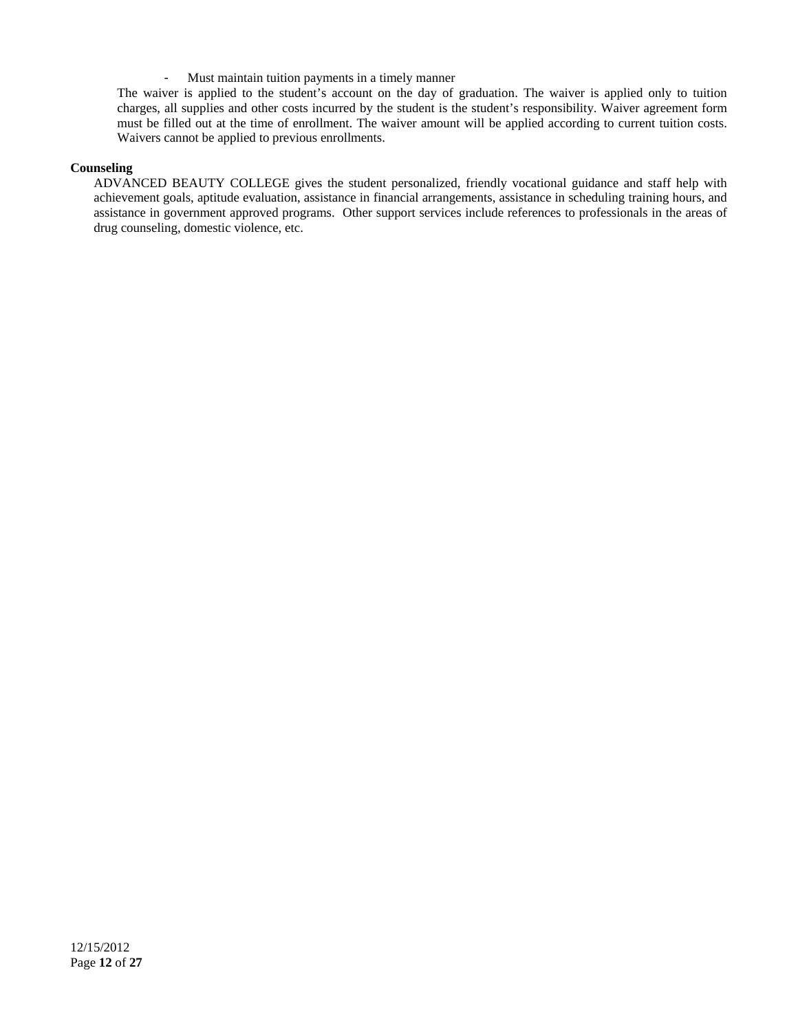- Must maintain tuition payments in a timely manner

The waiver is applied to the student's account on the day of graduation. The waiver is applied only to tuition charges, all supplies and other costs incurred by the student is the student's responsibility. Waiver agreement form must be filled out at the time of enrollment. The waiver amount will be applied according to current tuition costs. Waivers cannot be applied to previous enrollments.

## **Counseling**

ADVANCED BEAUTY COLLEGE gives the student personalized, friendly vocational guidance and staff help with achievement goals, aptitude evaluation, assistance in financial arrangements, assistance in scheduling training hours, and assistance in government approved programs. Other support services include references to professionals in the areas of drug counseling, domestic violence, etc.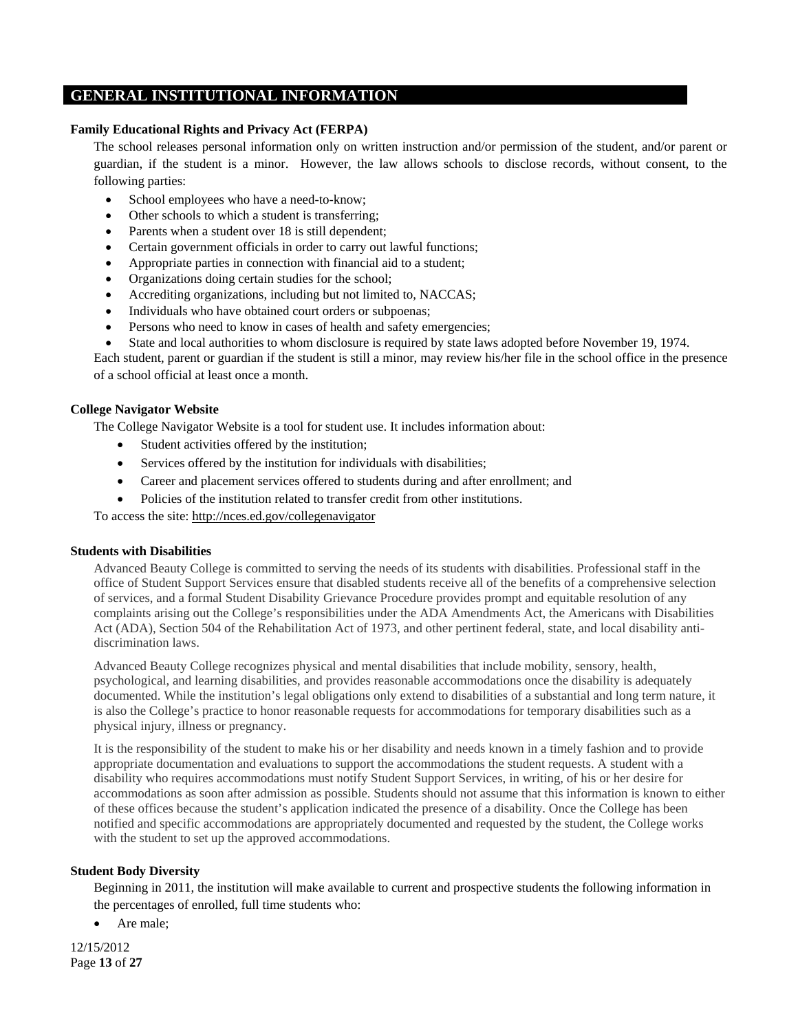# **GENERAL INSTITUTIONAL INFORMATION**

## **Family Educational Rights and Privacy Act (FERPA)**

The school releases personal information only on written instruction and/or permission of the student, and/or parent or guardian, if the student is a minor. However, the law allows schools to disclose records, without consent, to the following parties:

- School employees who have a need-to-know;
- Other schools to which a student is transferring;
- Parents when a student over 18 is still dependent;
- Certain government officials in order to carry out lawful functions;
- Appropriate parties in connection with financial aid to a student;
- Organizations doing certain studies for the school;
- Accrediting organizations, including but not limited to, NACCAS;
- Individuals who have obtained court orders or subpoenas;
- Persons who need to know in cases of health and safety emergencies;
- State and local authorities to whom disclosure is required by state laws adopted before November 19, 1974.

Each student, parent or guardian if the student is still a minor, may review his/her file in the school office in the presence of a school official at least once a month.

#### **College Navigator Website**

The College Navigator Website is a tool for student use. It includes information about:

- Student activities offered by the institution;
- Services offered by the institution for individuals with disabilities;
- Career and placement services offered to students during and after enrollment; and
- Policies of the institution related to transfer credit from other institutions.

To access the site: http://nces.ed.gov/collegenavigator

#### **Students with Disabilities**

Advanced Beauty College is committed to serving the needs of its students with disabilities. Professional staff in the office of Student Support Services ensure that disabled students receive all of the benefits of a comprehensive selection of services, and a formal Student Disability Grievance Procedure provides prompt and equitable resolution of any complaints arising out the College's responsibilities under the ADA Amendments Act, the Americans with Disabilities Act (ADA), Section 504 of the Rehabilitation Act of 1973, and other pertinent federal, state, and local disability antidiscrimination laws.

Advanced Beauty College recognizes physical and mental disabilities that include mobility, sensory, health, psychological, and learning disabilities, and provides reasonable accommodations once the disability is adequately documented. While the institution's legal obligations only extend to disabilities of a substantial and long term nature, it is also the College's practice to honor reasonable requests for accommodations for temporary disabilities such as a physical injury, illness or pregnancy.

It is the responsibility of the student to make his or her disability and needs known in a timely fashion and to provide appropriate documentation and evaluations to support the accommodations the student requests. A student with a disability who requires accommodations must notify Student Support Services, in writing, of his or her desire for accommodations as soon after admission as possible. Students should not assume that this information is known to either of these offices because the student's application indicated the presence of a disability. Once the College has been notified and specific accommodations are appropriately documented and requested by the student, the College works with the student to set up the approved accommodations.

# **Student Body Diversity**

Beginning in 2011, the institution will make available to current and prospective students the following information in the percentages of enrolled, full time students who:

• Are male:

12/15/2012 Page **13** of **27**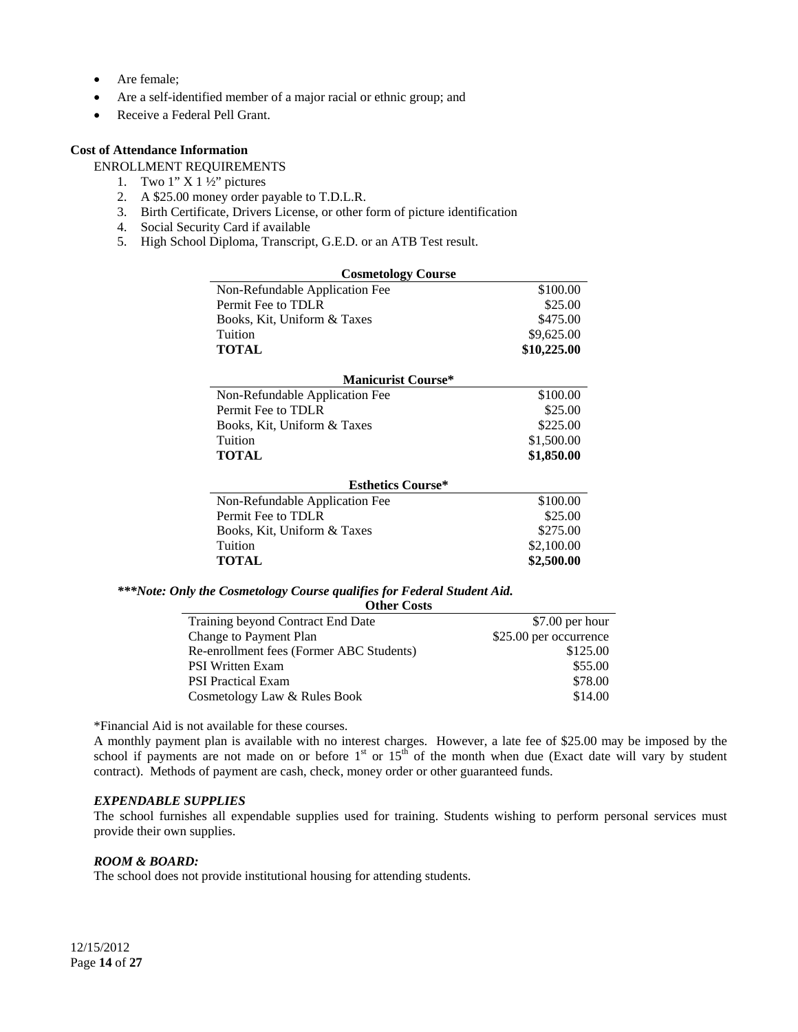- Are female;
- Are a self-identified member of a major racial or ethnic group; and
- Receive a Federal Pell Grant.

# **Cost of Attendance Information**

ENROLLMENT REQUIREMENTS

- 1. Two  $1''$  X  $1\frac{1}{2}$  pictures
- 2. A \$25.00 money order payable to T.D.L.R.
- 3. Birth Certificate, Drivers License, or other form of picture identification
- 4. Social Security Card if available
- 5. High School Diploma, Transcript, G.E.D. or an ATB Test result.

| <b>Cosmetology Course</b>      |             |
|--------------------------------|-------------|
| Non-Refundable Application Fee | \$100.00    |
| Permit Fee to TDLR             | \$25.00     |
| Books, Kit, Uniform & Taxes    | \$475.00    |
| Tuition                        | \$9,625.00  |
| <b>TOTAL</b>                   | \$10,225.00 |
|                                |             |
| <b>Manicurist Course*</b>      |             |
| Non-Refundable Application Fee | \$100.00    |
| Permit Fee to TDLR             | \$25.00     |
| Books, Kit, Uniform & Taxes    | \$225.00    |
| Tuition                        | \$1,500.00  |
| <b>TOTAL</b>                   | \$1,850.00  |
|                                |             |
| <b>Esthetics Course*</b>       |             |
| Non-Refundable Application Fee | \$100.00    |
| Permit Fee to TDLR             | \$25.00     |
| Books, Kit, Uniform & Taxes    | \$275.00    |
| Tuition                        | \$2,100.00  |
| <b>TOTAL</b>                   | \$2,500.00  |

#### *\*\*\*Note: Only the Cosmetology Course qualifies for Federal Student Aid.*

| <b>Other Costs</b>                       |                        |
|------------------------------------------|------------------------|
| Training beyond Contract End Date        | \$7.00 per hour        |
| Change to Payment Plan                   | \$25.00 per occurrence |
| Re-enrollment fees (Former ABC Students) | \$125.00               |
| <b>PSI Written Exam</b>                  | \$55.00                |
| <b>PSI</b> Practical Exam                | \$78.00                |
| Cosmetology Law & Rules Book             | \$14.00                |

\*Financial Aid is not available for these courses.

A monthly payment plan is available with no interest charges. However, a late fee of \$25.00 may be imposed by the school if payments are not made on or before  $1<sup>st</sup>$  or  $15<sup>th</sup>$  of the month when due (Exact date will vary by student contract). Methods of payment are cash, check, money order or other guaranteed funds.

#### *EXPENDABLE SUPPLIES*

The school furnishes all expendable supplies used for training. Students wishing to perform personal services must provide their own supplies.

#### *ROOM & BOARD:*

The school does not provide institutional housing for attending students.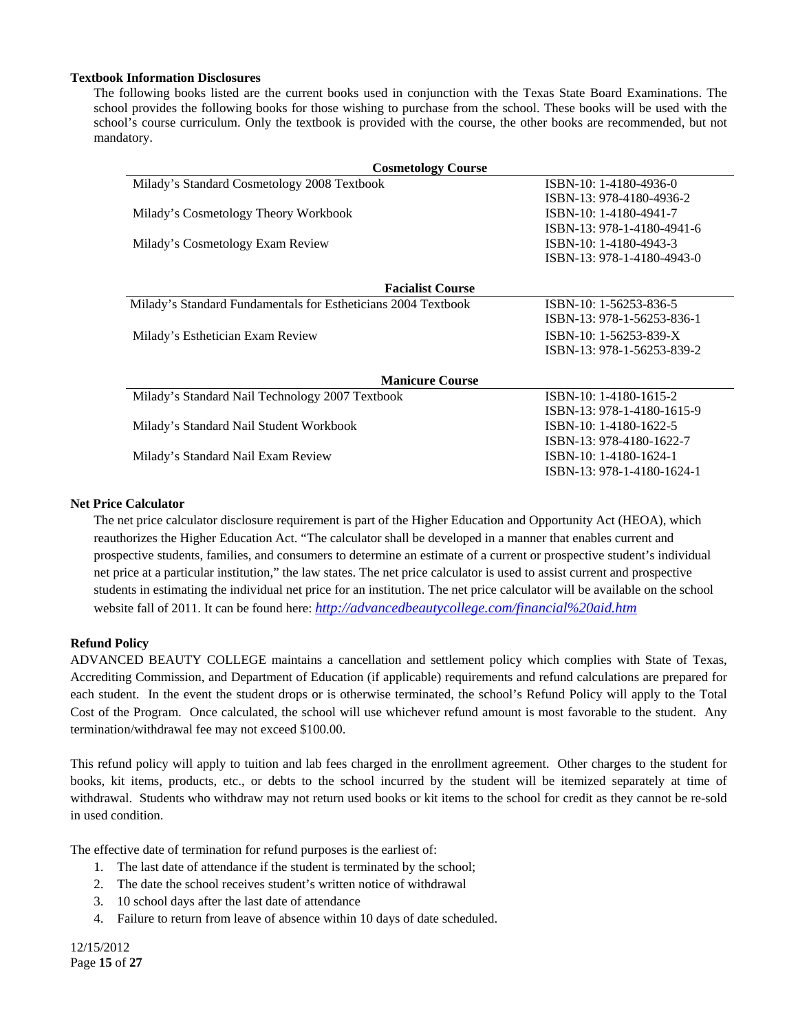#### **Textbook Information Disclosures**

The following books listed are the current books used in conjunction with the Texas State Board Examinations. The school provides the following books for those wishing to purchase from the school. These books will be used with the school's course curriculum. Only the textbook is provided with the course, the other books are recommended, but not mandatory.

| <b>Cosmetology Course</b>                                     |                            |  |
|---------------------------------------------------------------|----------------------------|--|
| Milady's Standard Cosmetology 2008 Textbook                   | ISBN-10: 1-4180-4936-0     |  |
|                                                               | ISBN-13: 978-4180-4936-2   |  |
| Milady's Cosmetology Theory Workbook                          | ISBN-10: 1-4180-4941-7     |  |
|                                                               | ISBN-13: 978-1-4180-4941-6 |  |
| Milady's Cosmetology Exam Review                              | ISBN-10: 1-4180-4943-3     |  |
|                                                               | ISBN-13: 978-1-4180-4943-0 |  |
|                                                               |                            |  |
| <b>Facialist Course</b>                                       |                            |  |
| Milady's Standard Fundamentals for Estheticians 2004 Textbook | ISBN-10: 1-56253-836-5     |  |
|                                                               | ISBN-13: 978-1-56253-836-1 |  |
| Milady's Esthetician Exam Review                              | ISBN-10: 1-56253-839-X     |  |
|                                                               | ISBN-13: 978-1-56253-839-2 |  |
|                                                               |                            |  |
| <b>Manicure Course</b>                                        |                            |  |
| Milady's Standard Nail Technology 2007 Textbook               | ISBN-10: 1-4180-1615-2     |  |
|                                                               | ISBN-13: 978-1-4180-1615-9 |  |
| Milady's Standard Nail Student Workbook                       | ISBN-10: 1-4180-1622-5     |  |
|                                                               | ISBN-13: 978-4180-1622-7   |  |
| Milady's Standard Nail Exam Review                            | ISBN-10: 1-4180-1624-1     |  |
|                                                               | ISBN-13: 978-1-4180-1624-1 |  |
|                                                               |                            |  |

## **Net Price Calculator**

The net price calculator disclosure requirement is part of the Higher Education and Opportunity Act (HEOA), which reauthorizes the Higher Education Act. "The calculator shall be developed in a manner that enables current and prospective students, families, and consumers to determine an estimate of a current or prospective student's individual net price at a particular institution," the law states. The net price calculator is used to assist current and prospective students in estimating the individual net price for an institution. The net price calculator will be available on the school website fall of 2011. It can be found here: *http://advancedbeautycollege.com/financial%20aid.htm*

# **Refund Policy**

ADVANCED BEAUTY COLLEGE maintains a cancellation and settlement policy which complies with State of Texas, Accrediting Commission, and Department of Education (if applicable) requirements and refund calculations are prepared for each student. In the event the student drops or is otherwise terminated, the school's Refund Policy will apply to the Total Cost of the Program. Once calculated, the school will use whichever refund amount is most favorable to the student. Any termination/withdrawal fee may not exceed \$100.00.

This refund policy will apply to tuition and lab fees charged in the enrollment agreement. Other charges to the student for books, kit items, products, etc., or debts to the school incurred by the student will be itemized separately at time of withdrawal. Students who withdraw may not return used books or kit items to the school for credit as they cannot be re-sold in used condition.

The effective date of termination for refund purposes is the earliest of:

- 1. The last date of attendance if the student is terminated by the school;
- 2. The date the school receives student's written notice of withdrawal
- 3. 10 school days after the last date of attendance
- 4. Failure to return from leave of absence within 10 days of date scheduled.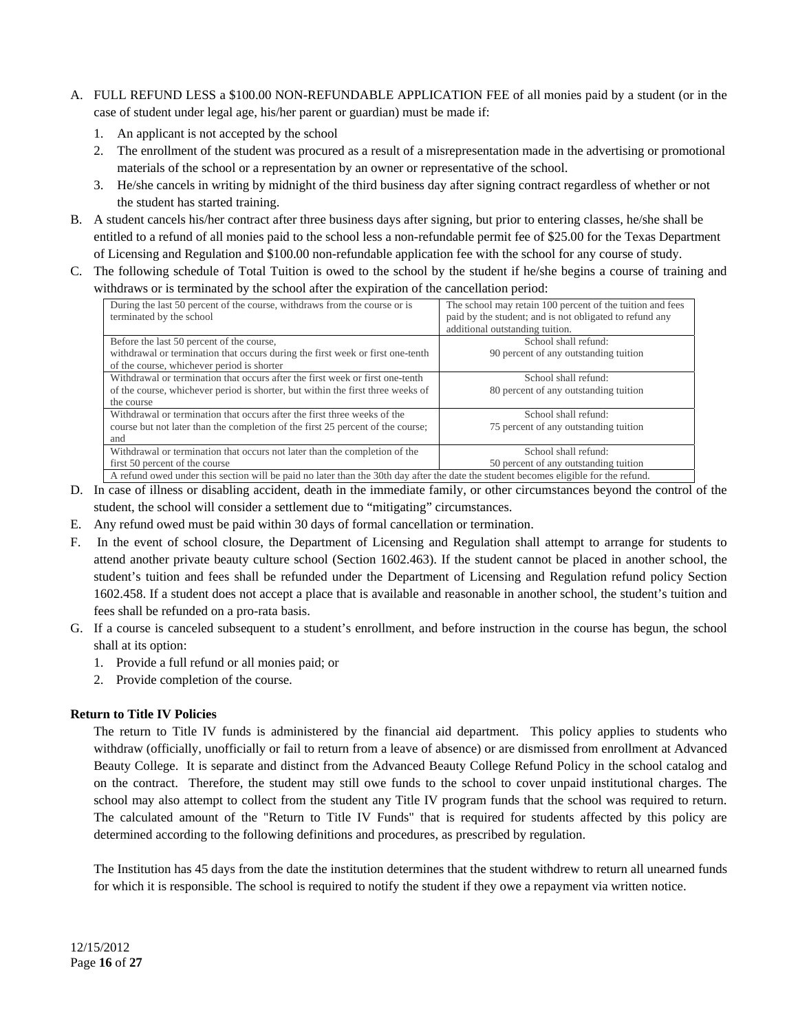- A. FULL REFUND LESS a \$100.00 NON-REFUNDABLE APPLICATION FEE of all monies paid by a student (or in the case of student under legal age, his/her parent or guardian) must be made if:
	- 1. An applicant is not accepted by the school
	- 2. The enrollment of the student was procured as a result of a misrepresentation made in the advertising or promotional materials of the school or a representation by an owner or representative of the school.
	- 3. He/she cancels in writing by midnight of the third business day after signing contract regardless of whether or not the student has started training.
- B. A student cancels his/her contract after three business days after signing, but prior to entering classes, he/she shall be entitled to a refund of all monies paid to the school less a non-refundable permit fee of \$25.00 for the Texas Department of Licensing and Regulation and \$100.00 non-refundable application fee with the school for any course of study.
- C. The following schedule of Total Tuition is owed to the school by the student if he/she begins a course of training and withdraws or is terminated by the school after the expiration of the cancellation period:

| During the last 50 percent of the course, withdraws from the course or is                                                            | The school may retain 100 percent of the tuition and fees |
|--------------------------------------------------------------------------------------------------------------------------------------|-----------------------------------------------------------|
| terminated by the school                                                                                                             | paid by the student; and is not obligated to refund any   |
|                                                                                                                                      | additional outstanding tuition.                           |
| Before the last 50 percent of the course,                                                                                            | School shall refund:                                      |
| withdrawal or termination that occurs during the first week or first one-tenth                                                       | 90 percent of any outstanding tuition                     |
| of the course, whichever period is shorter                                                                                           |                                                           |
| Withdrawal or termination that occurs after the first week or first one-tenth                                                        | School shall refund:                                      |
| of the course, whichever period is shorter, but within the first three weeks of                                                      | 80 percent of any outstanding tuition                     |
| the course                                                                                                                           |                                                           |
| Withdrawal or termination that occurs after the first three weeks of the                                                             | School shall refund:                                      |
| course but not later than the completion of the first 25 percent of the course;                                                      | 75 percent of any outstanding tuition                     |
| and                                                                                                                                  |                                                           |
| Withdrawal or termination that occurs not later than the completion of the                                                           | School shall refund:                                      |
| first 50 percent of the course                                                                                                       | 50 percent of any outstanding tuition                     |
| A refund owed under this section will be paid no later than the 30th day after the date the student becomes eligible for the refund. |                                                           |

- D. In case of illness or disabling accident, death in the immediate family, or other circumstances beyond the control of the student, the school will consider a settlement due to "mitigating" circumstances.
- E. Any refund owed must be paid within 30 days of formal cancellation or termination.
- F. In the event of school closure, the Department of Licensing and Regulation shall attempt to arrange for students to attend another private beauty culture school (Section 1602.463). If the student cannot be placed in another school, the student's tuition and fees shall be refunded under the Department of Licensing and Regulation refund policy Section 1602.458. If a student does not accept a place that is available and reasonable in another school, the student's tuition and fees shall be refunded on a pro-rata basis.
- G. If a course is canceled subsequent to a student's enrollment, and before instruction in the course has begun, the school shall at its option:
	- 1. Provide a full refund or all monies paid; or
	- 2. Provide completion of the course.

# **Return to Title IV Policies**

The return to Title IV funds is administered by the financial aid department. This policy applies to students who withdraw (officially, unofficially or fail to return from a leave of absence) or are dismissed from enrollment at Advanced Beauty College. It is separate and distinct from the Advanced Beauty College Refund Policy in the school catalog and on the contract. Therefore, the student may still owe funds to the school to cover unpaid institutional charges. The school may also attempt to collect from the student any Title IV program funds that the school was required to return. The calculated amount of the "Return to Title IV Funds" that is required for students affected by this policy are determined according to the following definitions and procedures, as prescribed by regulation.

The Institution has 45 days from the date the institution determines that the student withdrew to return all unearned funds for which it is responsible. The school is required to notify the student if they owe a repayment via written notice.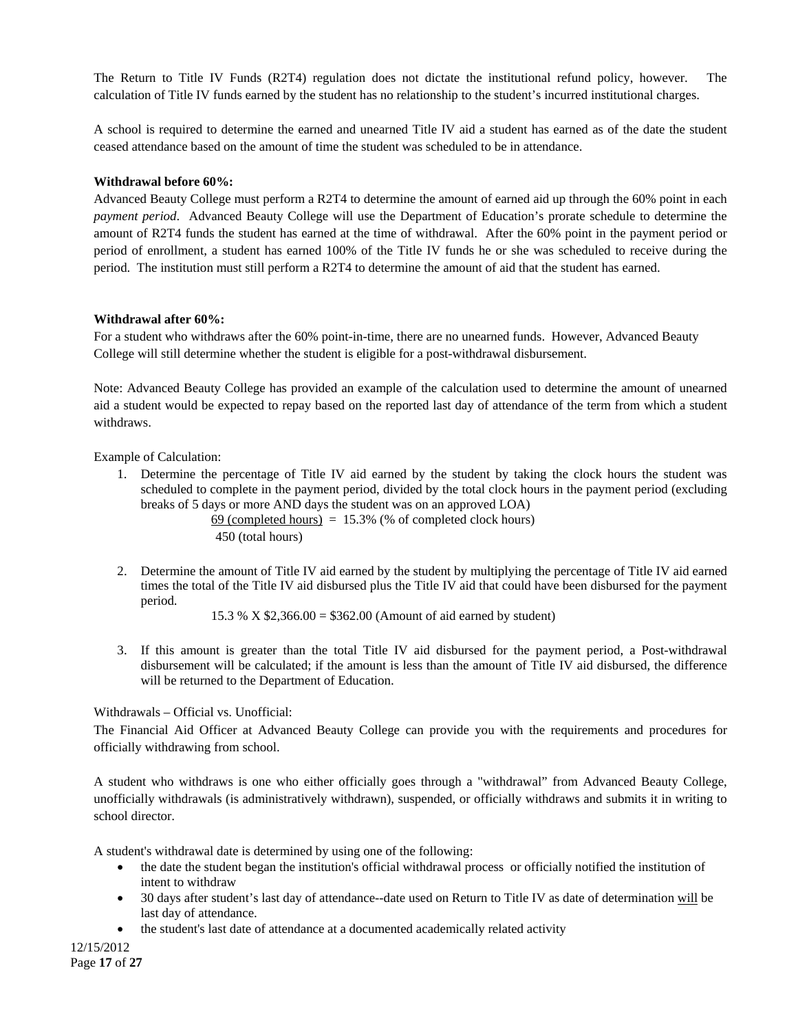The Return to Title IV Funds (R2T4) regulation does not dictate the institutional refund policy, however. The calculation of Title IV funds earned by the student has no relationship to the student's incurred institutional charges.

A school is required to determine the earned and unearned Title IV aid a student has earned as of the date the student ceased attendance based on the amount of time the student was scheduled to be in attendance.

# **Withdrawal before 60%:**

Advanced Beauty College must perform a R2T4 to determine the amount of earned aid up through the 60% point in each *payment period*. Advanced Beauty College will use the Department of Education's prorate schedule to determine the amount of R2T4 funds the student has earned at the time of withdrawal. After the 60% point in the payment period or period of enrollment, a student has earned 100% of the Title IV funds he or she was scheduled to receive during the period. The institution must still perform a R2T4 to determine the amount of aid that the student has earned.

# **Withdrawal after 60%:**

For a student who withdraws after the 60% point-in-time, there are no unearned funds. However, Advanced Beauty College will still determine whether the student is eligible for a post-withdrawal disbursement.

Note: Advanced Beauty College has provided an example of the calculation used to determine the amount of unearned aid a student would be expected to repay based on the reported last day of attendance of the term from which a student withdraws.

Example of Calculation:

1. Determine the percentage of Title IV aid earned by the student by taking the clock hours the student was scheduled to complete in the payment period, divided by the total clock hours in the payment period (excluding breaks of 5 days or more AND days the student was on an approved LOA)

69 (completed hours)  $= 15.3\%$  (% of completed clock hours) 450 (total hours)

2. Determine the amount of Title IV aid earned by the student by multiplying the percentage of Title IV aid earned times the total of the Title IV aid disbursed plus the Title IV aid that could have been disbursed for the payment period.

15.3 % X \$2,366.00 = \$362.00 (Amount of aid earned by student)

3. If this amount is greater than the total Title IV aid disbursed for the payment period, a Post-withdrawal disbursement will be calculated; if the amount is less than the amount of Title IV aid disbursed, the difference will be returned to the Department of Education.

Withdrawals – Official vs. Unofficial:

The Financial Aid Officer at Advanced Beauty College can provide you with the requirements and procedures for officially withdrawing from school.

A student who withdraws is one who either officially goes through a "withdrawal" from Advanced Beauty College, unofficially withdrawals (is administratively withdrawn), suspended, or officially withdraws and submits it in writing to school director.

A student's withdrawal date is determined by using one of the following:

- the date the student began the institution's official withdrawal process or officially notified the institution of intent to withdraw
- 30 days after student's last day of attendance--date used on Return to Title IV as date of determination will be last day of attendance.
- the student's last date of attendance at a documented academically related activity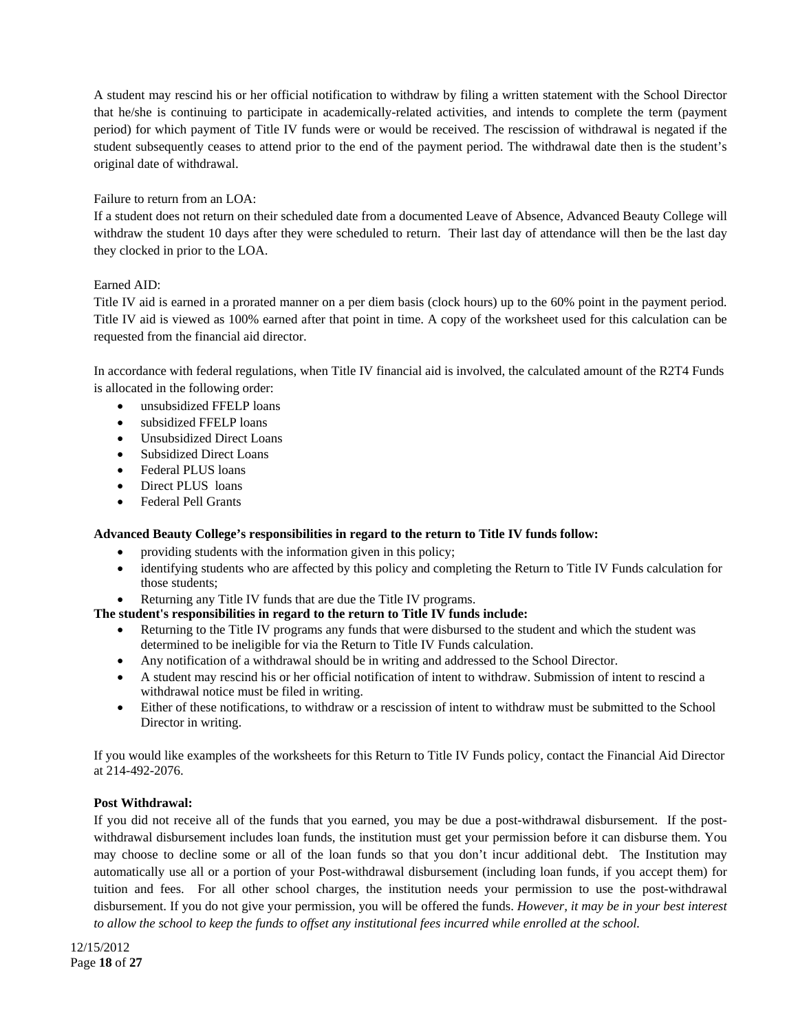A student may rescind his or her official notification to withdraw by filing a written statement with the School Director that he/she is continuing to participate in academically-related activities, and intends to complete the term (payment period) for which payment of Title IV funds were or would be received. The rescission of withdrawal is negated if the student subsequently ceases to attend prior to the end of the payment period. The withdrawal date then is the student's original date of withdrawal.

# Failure to return from an LOA:

If a student does not return on their scheduled date from a documented Leave of Absence, Advanced Beauty College will withdraw the student 10 days after they were scheduled to return. Their last day of attendance will then be the last day they clocked in prior to the LOA.

# Earned AID:

Title IV aid is earned in a prorated manner on a per diem basis (clock hours) up to the 60% point in the payment period. Title IV aid is viewed as 100% earned after that point in time. A copy of the worksheet used for this calculation can be requested from the financial aid director.

In accordance with federal regulations, when Title IV financial aid is involved, the calculated amount of the R2T4 Funds is allocated in the following order:

- unsubsidized FFELP loans
- subsidized FFELP loans
- Unsubsidized Direct Loans
- Subsidized Direct Loans
- Federal PLUS loans
- Direct PLUS loans
- Federal Pell Grants

# **Advanced Beauty College's responsibilities in regard to the return to Title IV funds follow:**

- providing students with the information given in this policy;
- identifying students who are affected by this policy and completing the Return to Title IV Funds calculation for those students;
- Returning any Title IV funds that are due the Title IV programs.

# **The student's responsibilities in regard to the return to Title IV funds include:**

- Returning to the Title IV programs any funds that were disbursed to the student and which the student was determined to be ineligible for via the Return to Title IV Funds calculation.
- Any notification of a withdrawal should be in writing and addressed to the School Director.
- A student may rescind his or her official notification of intent to withdraw. Submission of intent to rescind a withdrawal notice must be filed in writing.
- Either of these notifications, to withdraw or a rescission of intent to withdraw must be submitted to the School Director in writing.

If you would like examples of the worksheets for this Return to Title IV Funds policy, contact the Financial Aid Director at 214-492-2076.

# **Post Withdrawal:**

If you did not receive all of the funds that you earned, you may be due a post-withdrawal disbursement. If the postwithdrawal disbursement includes loan funds, the institution must get your permission before it can disburse them. You may choose to decline some or all of the loan funds so that you don't incur additional debt. The Institution may automatically use all or a portion of your Post-withdrawal disbursement (including loan funds, if you accept them) for tuition and fees. For all other school charges, the institution needs your permission to use the post-withdrawal disbursement. If you do not give your permission, you will be offered the funds. *However, it may be in your best interest to allow the school to keep the funds to offset any institutional fees incurred while enrolled at the school.*

12/15/2012 Page **18** of **27**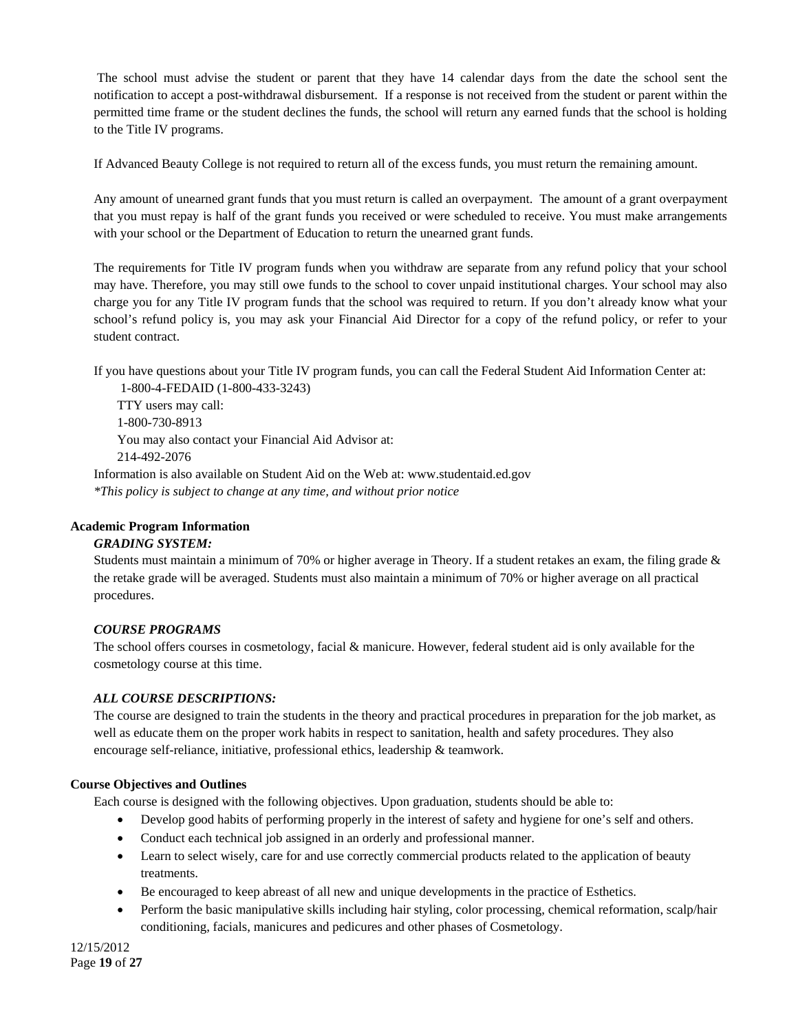The school must advise the student or parent that they have 14 calendar days from the date the school sent the notification to accept a post-withdrawal disbursement. If a response is not received from the student or parent within the permitted time frame or the student declines the funds, the school will return any earned funds that the school is holding to the Title IV programs.

If Advanced Beauty College is not required to return all of the excess funds, you must return the remaining amount.

Any amount of unearned grant funds that you must return is called an overpayment. The amount of a grant overpayment that you must repay is half of the grant funds you received or were scheduled to receive. You must make arrangements with your school or the Department of Education to return the unearned grant funds.

The requirements for Title IV program funds when you withdraw are separate from any refund policy that your school may have. Therefore, you may still owe funds to the school to cover unpaid institutional charges. Your school may also charge you for any Title IV program funds that the school was required to return. If you don't already know what your school's refund policy is, you may ask your Financial Aid Director for a copy of the refund policy, or refer to your student contract.

If you have questions about your Title IV program funds, you can call the Federal Student Aid Information Center at:

 1-800-4-FEDAID (1-800-433-3243) TTY users may call: 1-800-730-8913 You may also contact your Financial Aid Advisor at: 214-492-2076 Information is also available on Student Aid on the Web at: www.studentaid.ed.gov

*\*This policy is subject to change at any time, and without prior notice*

# **Academic Program Information**

# *GRADING SYSTEM:*

Students must maintain a minimum of 70% or higher average in Theory. If a student retakes an exam, the filing grade & the retake grade will be averaged. Students must also maintain a minimum of 70% or higher average on all practical procedures.

# *COURSE PROGRAMS*

The school offers courses in cosmetology, facial & manicure. However, federal student aid is only available for the cosmetology course at this time.

# *ALL COURSE DESCRIPTIONS:*

The course are designed to train the students in the theory and practical procedures in preparation for the job market, as well as educate them on the proper work habits in respect to sanitation, health and safety procedures. They also encourage self-reliance, initiative, professional ethics, leadership & teamwork.

# **Course Objectives and Outlines**

Each course is designed with the following objectives. Upon graduation, students should be able to:

- Develop good habits of performing properly in the interest of safety and hygiene for one's self and others.
- Conduct each technical job assigned in an orderly and professional manner.
- Learn to select wisely, care for and use correctly commercial products related to the application of beauty treatments.
- Be encouraged to keep abreast of all new and unique developments in the practice of Esthetics.
- Perform the basic manipulative skills including hair styling, color processing, chemical reformation, scalp/hair conditioning, facials, manicures and pedicures and other phases of Cosmetology.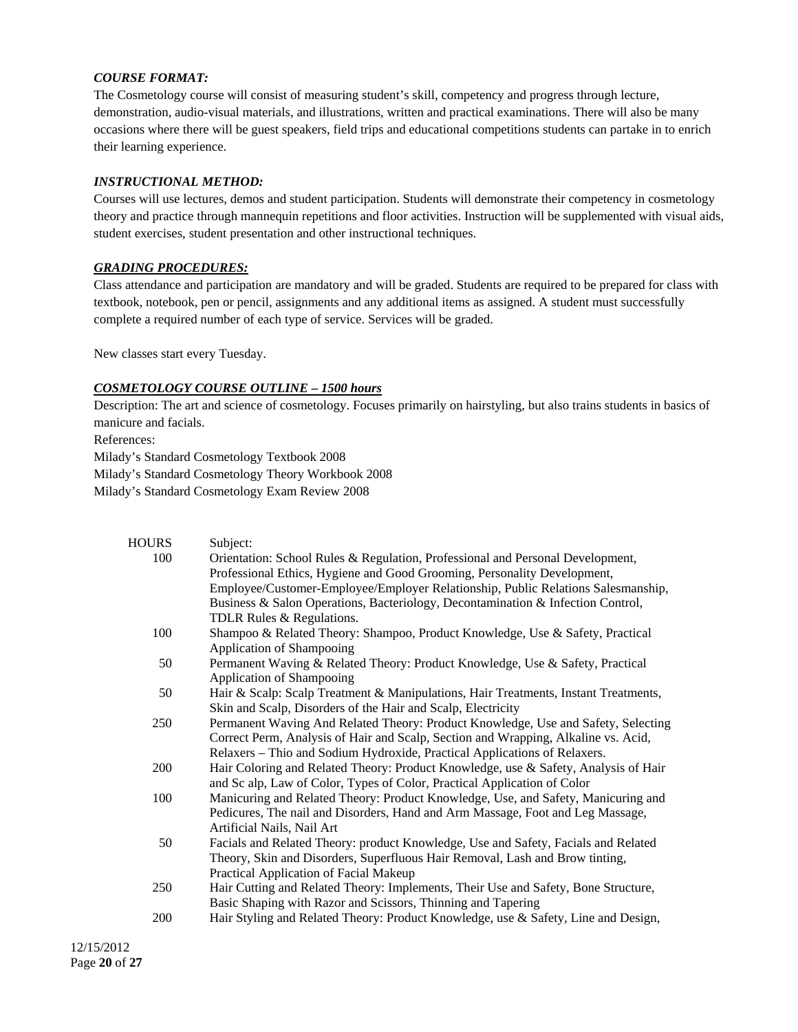## *COURSE FORMAT:*

The Cosmetology course will consist of measuring student's skill, competency and progress through lecture, demonstration, audio-visual materials, and illustrations, written and practical examinations. There will also be many occasions where there will be guest speakers, field trips and educational competitions students can partake in to enrich their learning experience.

## *INSTRUCTIONAL METHOD:*

Courses will use lectures, demos and student participation. Students will demonstrate their competency in cosmetology theory and practice through mannequin repetitions and floor activities. Instruction will be supplemented with visual aids, student exercises, student presentation and other instructional techniques.

#### *GRADING PROCEDURES:*

Class attendance and participation are mandatory and will be graded. Students are required to be prepared for class with textbook, notebook, pen or pencil, assignments and any additional items as assigned. A student must successfully complete a required number of each type of service. Services will be graded.

New classes start every Tuesday.

#### *COSMETOLOGY COURSE OUTLINE – 1500 hours*

Description: The art and science of cosmetology. Focuses primarily on hairstyling, but also trains students in basics of manicure and facials.

References: Milady's Standard Cosmetology Textbook 2008 Milady's Standard Cosmetology Theory Workbook 2008

Milady's Standard Cosmetology Exam Review 2008

| <b>HOURS</b> | Subject:                                                                            |
|--------------|-------------------------------------------------------------------------------------|
| 100          | Orientation: School Rules & Regulation, Professional and Personal Development,      |
|              | Professional Ethics, Hygiene and Good Grooming, Personality Development,            |
|              | Employee/Customer-Employee/Employer Relationship, Public Relations Salesmanship,    |
|              | Business & Salon Operations, Bacteriology, Decontamination & Infection Control,     |
|              | TDLR Rules & Regulations.                                                           |
| 100          | Shampoo & Related Theory: Shampoo, Product Knowledge, Use & Safety, Practical       |
|              | Application of Shampooing                                                           |
| 50           | Permanent Waving & Related Theory: Product Knowledge, Use & Safety, Practical       |
|              | Application of Shampooing                                                           |
| 50           | Hair & Scalp: Scalp Treatment & Manipulations, Hair Treatments, Instant Treatments, |
|              | Skin and Scalp, Disorders of the Hair and Scalp, Electricity                        |
| 250          | Permanent Waving And Related Theory: Product Knowledge, Use and Safety, Selecting   |
|              | Correct Perm, Analysis of Hair and Scalp, Section and Wrapping, Alkaline vs. Acid,  |
|              | Relaxers – Thio and Sodium Hydroxide, Practical Applications of Relaxers.           |
| 200          | Hair Coloring and Related Theory: Product Knowledge, use & Safety, Analysis of Hair |
|              | and Sc alp, Law of Color, Types of Color, Practical Application of Color            |
| 100          | Manicuring and Related Theory: Product Knowledge, Use, and Safety, Manicuring and   |
|              | Pedicures, The nail and Disorders, Hand and Arm Massage, Foot and Leg Massage,      |
|              | Artificial Nails, Nail Art                                                          |
| 50           | Facials and Related Theory: product Knowledge, Use and Safety, Facials and Related  |
|              | Theory, Skin and Disorders, Superfluous Hair Removal, Lash and Brow tinting,        |
|              | Practical Application of Facial Makeup                                              |
| 250          | Hair Cutting and Related Theory: Implements, Their Use and Safety, Bone Structure,  |
|              | Basic Shaping with Razor and Scissors, Thinning and Tapering                        |
| 200          | Hair Styling and Related Theory: Product Knowledge, use & Safety, Line and Design,  |
|              |                                                                                     |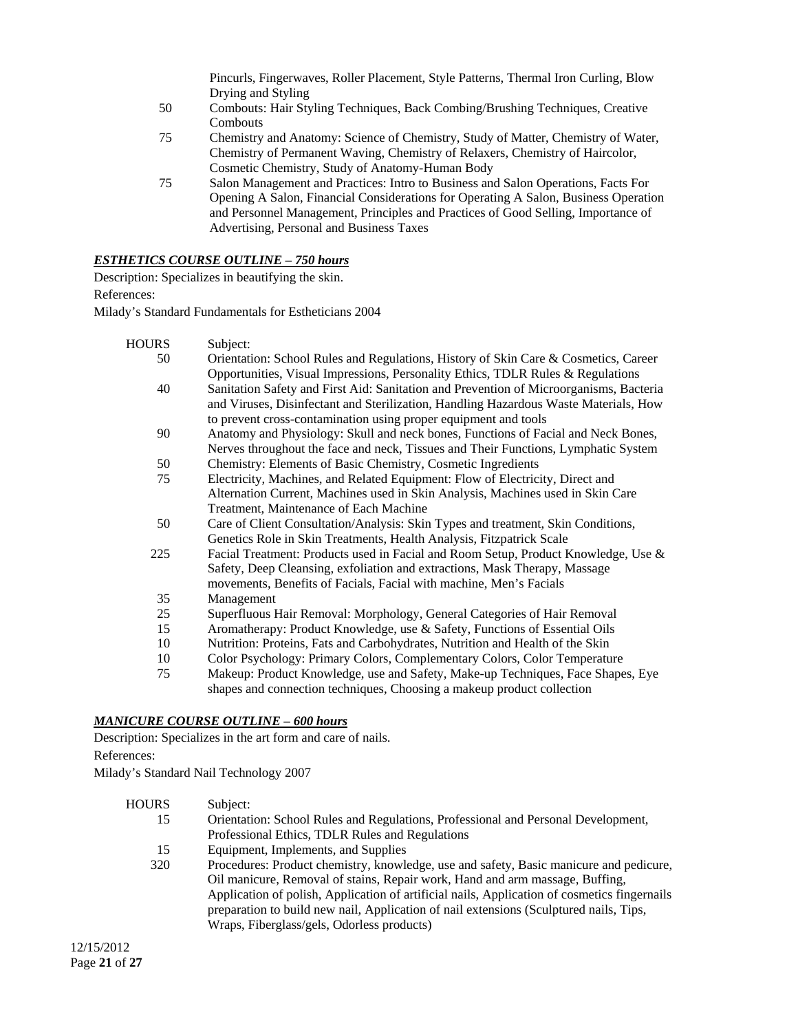Pincurls, Fingerwaves, Roller Placement, Style Patterns, Thermal Iron Curling, Blow Drying and Styling

- 50 Combouts: Hair Styling Techniques, Back Combing/Brushing Techniques, Creative **Combouts**
- 75 Chemistry and Anatomy: Science of Chemistry, Study of Matter, Chemistry of Water, Chemistry of Permanent Waving, Chemistry of Relaxers, Chemistry of Haircolor, Cosmetic Chemistry, Study of Anatomy-Human Body
- 75 Salon Management and Practices: Intro to Business and Salon Operations, Facts For Opening A Salon, Financial Considerations for Operating A Salon, Business Operation and Personnel Management, Principles and Practices of Good Selling, Importance of Advertising, Personal and Business Taxes

# *ESTHETICS COURSE OUTLINE – 750 hours*

Description: Specializes in beautifying the skin. References:

Milady's Standard Fundamentals for Estheticians 2004

- HOURS Subject:
	- 50 Orientation: School Rules and Regulations, History of Skin Care & Cosmetics, Career Opportunities, Visual Impressions, Personality Ethics, TDLR Rules & Regulations 40 Sanitation Safety and First Aid: Sanitation and Prevention of Microorganisms, Bacteria and Viruses, Disinfectant and Sterilization, Handling Hazardous Waste Materials, How to prevent cross-contamination using proper equipment and tools 90 Anatomy and Physiology: Skull and neck bones, Functions of Facial and Neck Bones, Nerves throughout the face and neck, Tissues and Their Functions, Lymphatic System 50 Chemistry: Elements of Basic Chemistry, Cosmetic Ingredients 75 Electricity, Machines, and Related Equipment: Flow of Electricity, Direct and Alternation Current, Machines used in Skin Analysis, Machines used in Skin Care Treatment, Maintenance of Each Machine 50 Care of Client Consultation/Analysis: Skin Types and treatment, Skin Conditions, Genetics Role in Skin Treatments, Health Analysis, Fitzpatrick Scale 225 Facial Treatment: Products used in Facial and Room Setup, Product Knowledge, Use & Safety, Deep Cleansing, exfoliation and extractions, Mask Therapy, Massage movements, Benefits of Facials, Facial with machine, Men's Facials 35 Management 25 Superfluous Hair Removal: Morphology, General Categories of Hair Removal 15 Aromatherapy: Product Knowledge, use & Safety, Functions of Essential Oils 10 Nutrition: Proteins, Fats and Carbohydrates, Nutrition and Health of the Skin 10 Color Psychology: Primary Colors, Complementary Colors, Color Temperature
		- 75 Makeup: Product Knowledge, use and Safety, Make-up Techniques, Face Shapes, Eye shapes and connection techniques, Choosing a makeup product collection

# *MANICURE COURSE OUTLINE – 600 hours*

Description: Specializes in the art form and care of nails. References:

Milady's Standard Nail Technology 2007

| HOURS | Subject:                                                                                     |
|-------|----------------------------------------------------------------------------------------------|
| 15    | Orientation: School Rules and Regulations, Professional and Personal Development,            |
|       | Professional Ethics, TDLR Rules and Regulations                                              |
| 15    | Equipment, Implements, and Supplies                                                          |
| 320   | Procedures: Product chemistry, knowledge, use and safety, Basic manicure and pedicure,       |
|       | Oil manicure, Removal of stains, Repair work, Hand and arm massage, Buffing,                 |
|       | Application of polish, Application of artificial nails, Application of cosmetics fingernails |
|       | preparation to build new nail, Application of nail extensions (Sculptured nails, Tips,       |
|       | Wraps, Fiberglass/gels, Odorless products)                                                   |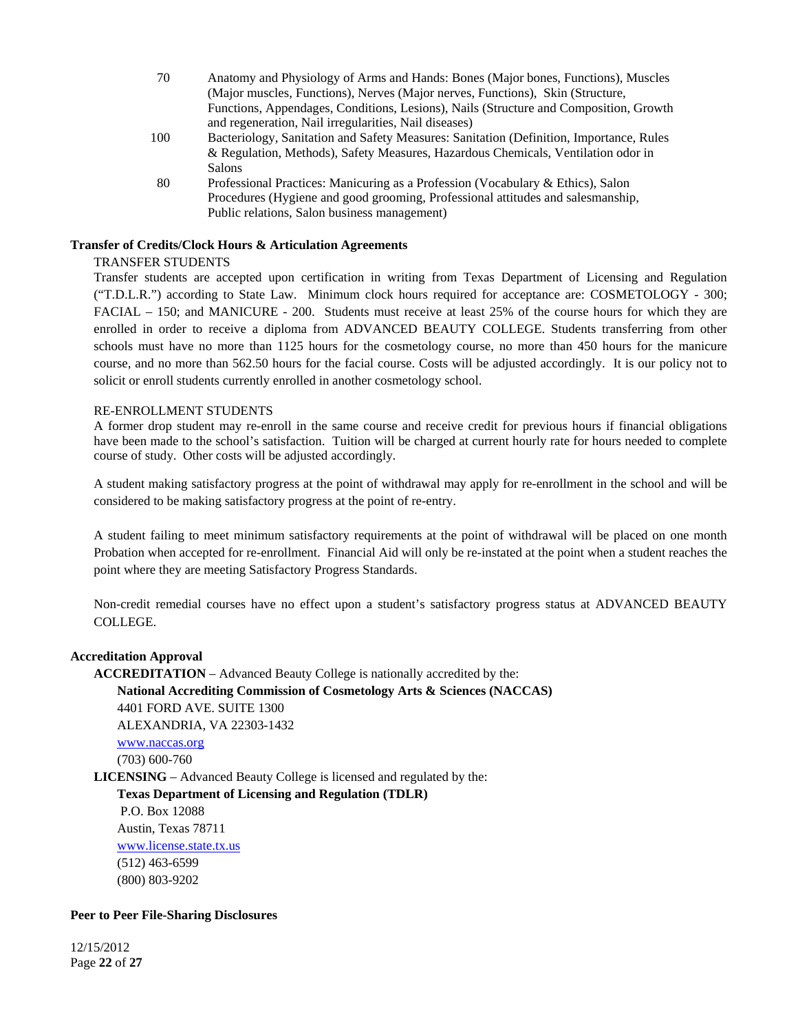- 70 Anatomy and Physiology of Arms and Hands: Bones (Major bones, Functions), Muscles (Major muscles, Functions), Nerves (Major nerves, Functions), Skin (Structure, Functions, Appendages, Conditions, Lesions), Nails (Structure and Composition, Growth and regeneration, Nail irregularities, Nail diseases)
- 100 Bacteriology, Sanitation and Safety Measures: Sanitation (Definition, Importance, Rules & Regulation, Methods), Safety Measures, Hazardous Chemicals, Ventilation odor in Salons
- 80 Professional Practices: Manicuring as a Profession (Vocabulary & Ethics), Salon Procedures (Hygiene and good grooming, Professional attitudes and salesmanship, Public relations, Salon business management)

# **Transfer of Credits/Clock Hours & Articulation Agreements**

# TRANSFER STUDENTS

Transfer students are accepted upon certification in writing from Texas Department of Licensing and Regulation ("T.D.L.R.") according to State Law. Minimum clock hours required for acceptance are: COSMETOLOGY - 300; FACIAL – 150; and MANICURE - 200. Students must receive at least 25% of the course hours for which they are enrolled in order to receive a diploma from ADVANCED BEAUTY COLLEGE. Students transferring from other schools must have no more than 1125 hours for the cosmetology course, no more than 450 hours for the manicure course, and no more than 562.50 hours for the facial course. Costs will be adjusted accordingly. It is our policy not to solicit or enroll students currently enrolled in another cosmetology school.

#### RE-ENROLLMENT STUDENTS

A former drop student may re-enroll in the same course and receive credit for previous hours if financial obligations have been made to the school's satisfaction. Tuition will be charged at current hourly rate for hours needed to complete course of study. Other costs will be adjusted accordingly.

A student making satisfactory progress at the point of withdrawal may apply for re-enrollment in the school and will be considered to be making satisfactory progress at the point of re-entry.

A student failing to meet minimum satisfactory requirements at the point of withdrawal will be placed on one month Probation when accepted for re-enrollment. Financial Aid will only be re-instated at the point when a student reaches the point where they are meeting Satisfactory Progress Standards.

Non-credit remedial courses have no effect upon a student's satisfactory progress status at ADVANCED BEAUTY COLLEGE.

# **Accreditation Approval**

**ACCREDITATION** – Advanced Beauty College is nationally accredited by the: **National Accrediting Commission of Cosmetology Arts & Sciences (NACCAS)**  4401 FORD AVE. SUITE 1300 ALEXANDRIA, VA 22303-1432 www.naccas.org (703) 600-760 **LICENSING** – Advanced Beauty College is licensed and regulated by the: **Texas Department of Licensing and Regulation (TDLR)**  P.O. Box 12088 Austin, Texas 78711 www.license.state.tx.us (512) 463-6599 (800) 803-9202

# **Peer to Peer File-Sharing Disclosures**

12/15/2012 Page **22** of **27**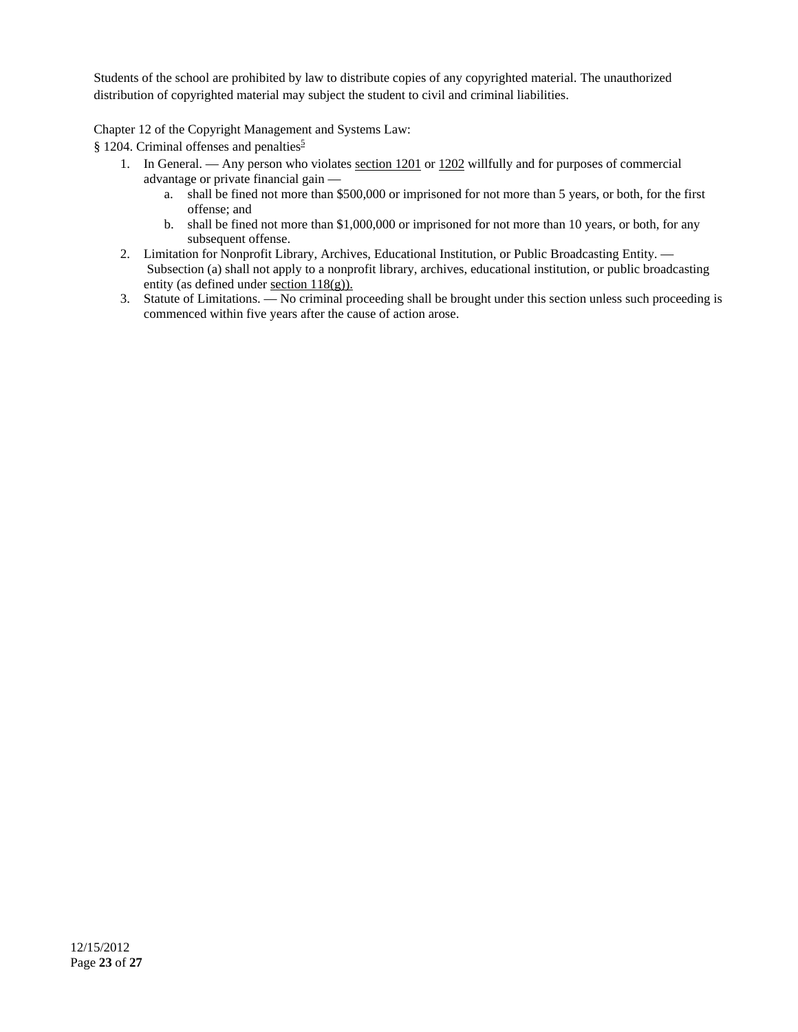Students of the school are prohibited by law to distribute copies of any copyrighted material. The unauthorized distribution of copyrighted material may subject the student to civil and criminal liabilities.

Chapter 12 of the Copyright Management and Systems Law:

 $§$  1204. Criminal offenses and penalties<sup>5</sup>

- 1. In General. Any person who violates section 1201 or 1202 willfully and for purposes of commercial advantage or private financial gain
	- a. shall be fined not more than \$500,000 or imprisoned for not more than 5 years, or both, for the first offense; and
	- b. shall be fined not more than \$1,000,000 or imprisoned for not more than 10 years, or both, for any subsequent offense.
- 2. Limitation for Nonprofit Library, Archives, Educational Institution, or Public Broadcasting Entity. Subsection (a) shall not apply to a nonprofit library, archives, educational institution, or public broadcasting entity (as defined under section 118(g)).
- 3. Statute of Limitations. No criminal proceeding shall be brought under this section unless such proceeding is commenced within five years after the cause of action arose.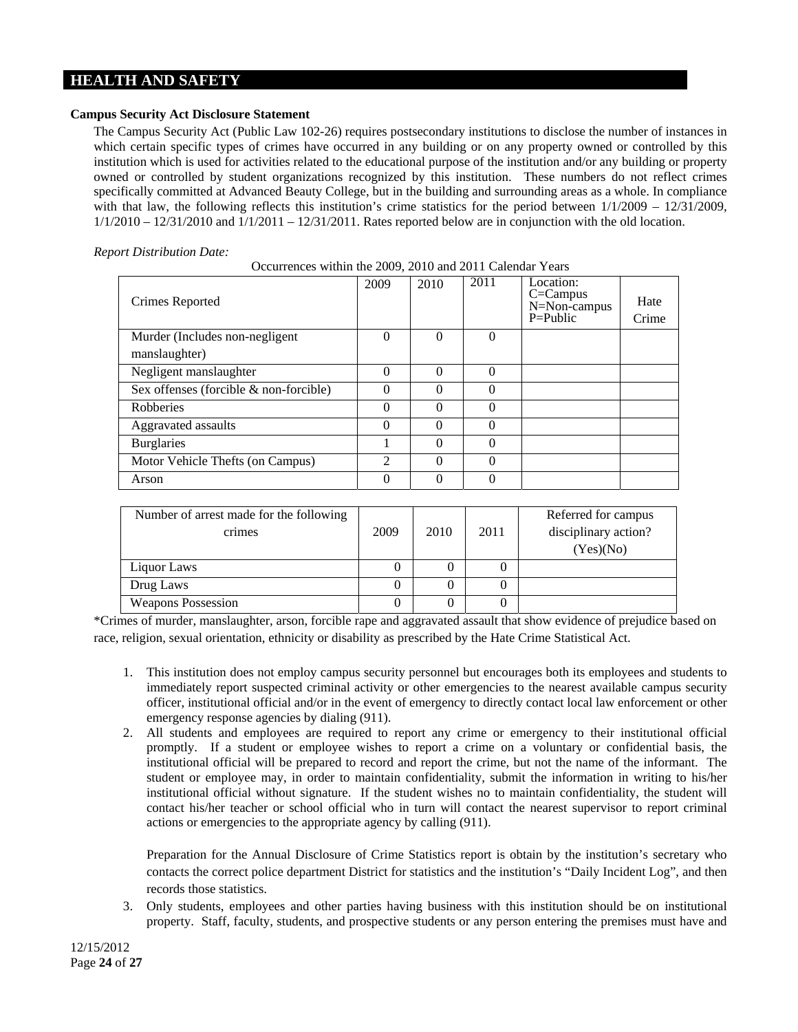# **HEALTH AND SAFETY**

# **Campus Security Act Disclosure Statement**

The Campus Security Act (Public Law 102-26) requires postsecondary institutions to disclose the number of instances in which certain specific types of crimes have occurred in any building or on any property owned or controlled by this institution which is used for activities related to the educational purpose of the institution and/or any building or property owned or controlled by student organizations recognized by this institution. These numbers do not reflect crimes specifically committed at Advanced Beauty College, but in the building and surrounding areas as a whole. In compliance with that law, the following reflects this institution's crime statistics for the period between  $1/1/2009 - 12/31/2009$ ,  $1/1/2010 - 12/31/2010$  and  $1/1/2011 - 12/31/2011$ . Rates reported below are in conjunction with the old location.

# *Report Distribution Date:*

| Crimes Reported                        | 2009     | 2010     | 2011     | Location:<br>$C =$ Campus<br>$N = Non-campus$<br>P=Public | Hate<br>Crime |
|----------------------------------------|----------|----------|----------|-----------------------------------------------------------|---------------|
| Murder (Includes non-negligent)        | $\Omega$ | 0        | 0        |                                                           |               |
| manslaughter)                          |          |          |          |                                                           |               |
| Negligent manslaughter                 | $\Omega$ | 0        | $\Omega$ |                                                           |               |
| Sex offenses (forcible & non-forcible) | 0        | 0        | 0        |                                                           |               |
| <b>Robberies</b>                       | $\Omega$ | 0        | 0        |                                                           |               |
| Aggravated assaults                    | $\Omega$ | $\Omega$ | 0        |                                                           |               |
| <b>Burglaries</b>                      |          | $\Omega$ | $\Omega$ |                                                           |               |
| Motor Vehicle Thefts (on Campus)       | 2        | $\Omega$ | $\Omega$ |                                                           |               |
| Arson                                  | $\Omega$ | 0        |          |                                                           |               |

| Number of arrest made for the following<br>crimes | 2009 | 2010             | 2011 | Referred for campus<br>disciplinary action?<br>(Yes)(No) |
|---------------------------------------------------|------|------------------|------|----------------------------------------------------------|
| Liquor Laws                                       |      | $\theta$         |      |                                                          |
| Drug Laws                                         |      | $\left( \right)$ |      |                                                          |
| <b>Weapons Possession</b>                         |      | $\theta$         |      |                                                          |

\*Crimes of murder, manslaughter, arson, forcible rape and aggravated assault that show evidence of prejudice based on race, religion, sexual orientation, ethnicity or disability as prescribed by the Hate Crime Statistical Act.

- 1. This institution does not employ campus security personnel but encourages both its employees and students to immediately report suspected criminal activity or other emergencies to the nearest available campus security officer, institutional official and/or in the event of emergency to directly contact local law enforcement or other emergency response agencies by dialing (911).
- 2. All students and employees are required to report any crime or emergency to their institutional official promptly. If a student or employee wishes to report a crime on a voluntary or confidential basis, the institutional official will be prepared to record and report the crime, but not the name of the informant. The student or employee may, in order to maintain confidentiality, submit the information in writing to his/her institutional official without signature. If the student wishes no to maintain confidentiality, the student will contact his/her teacher or school official who in turn will contact the nearest supervisor to report criminal actions or emergencies to the appropriate agency by calling (911).

Preparation for the Annual Disclosure of Crime Statistics report is obtain by the institution's secretary who contacts the correct police department District for statistics and the institution's "Daily Incident Log", and then records those statistics.

3. Only students, employees and other parties having business with this institution should be on institutional property. Staff, faculty, students, and prospective students or any person entering the premises must have and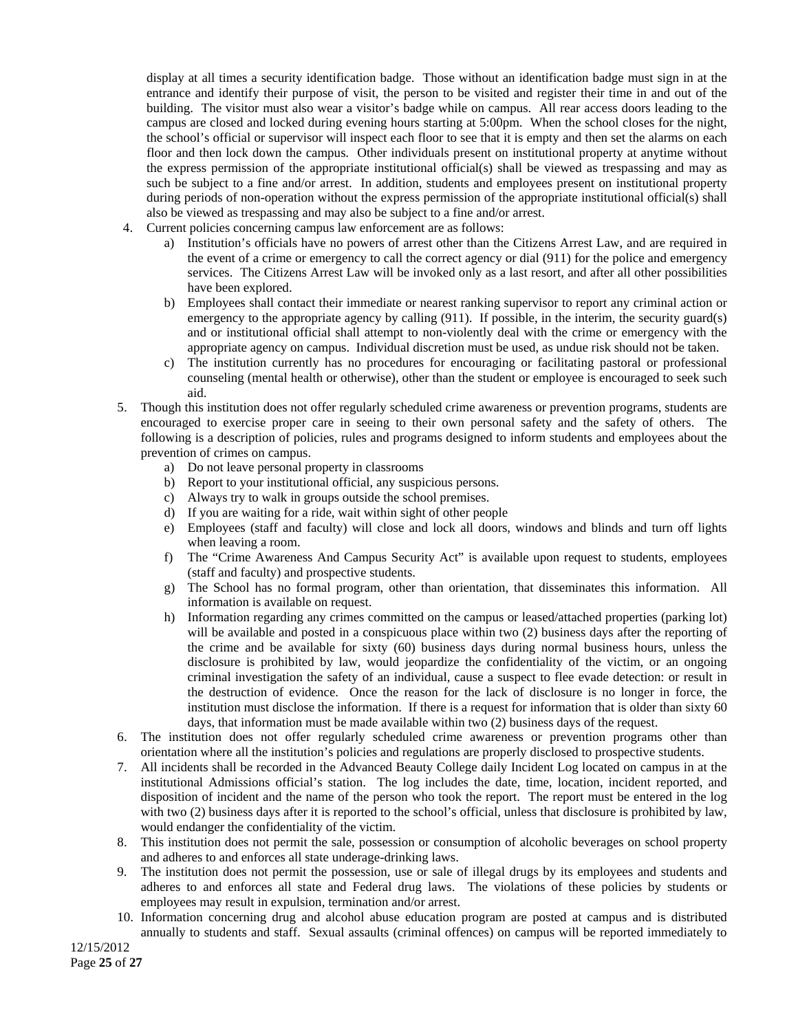display at all times a security identification badge. Those without an identification badge must sign in at the entrance and identify their purpose of visit, the person to be visited and register their time in and out of the building. The visitor must also wear a visitor's badge while on campus. All rear access doors leading to the campus are closed and locked during evening hours starting at 5:00pm. When the school closes for the night, the school's official or supervisor will inspect each floor to see that it is empty and then set the alarms on each floor and then lock down the campus. Other individuals present on institutional property at anytime without the express permission of the appropriate institutional official(s) shall be viewed as trespassing and may as such be subject to a fine and/or arrest. In addition, students and employees present on institutional property during periods of non-operation without the express permission of the appropriate institutional official(s) shall also be viewed as trespassing and may also be subject to a fine and/or arrest.

- 4. Current policies concerning campus law enforcement are as follows:
	- a) Institution's officials have no powers of arrest other than the Citizens Arrest Law, and are required in the event of a crime or emergency to call the correct agency or dial (911) for the police and emergency services. The Citizens Arrest Law will be invoked only as a last resort, and after all other possibilities have been explored.
	- b) Employees shall contact their immediate or nearest ranking supervisor to report any criminal action or emergency to the appropriate agency by calling (911). If possible, in the interim, the security guard(s) and or institutional official shall attempt to non-violently deal with the crime or emergency with the appropriate agency on campus. Individual discretion must be used, as undue risk should not be taken.
	- c) The institution currently has no procedures for encouraging or facilitating pastoral or professional counseling (mental health or otherwise), other than the student or employee is encouraged to seek such aid.
- 5. Though this institution does not offer regularly scheduled crime awareness or prevention programs, students are encouraged to exercise proper care in seeing to their own personal safety and the safety of others. The following is a description of policies, rules and programs designed to inform students and employees about the prevention of crimes on campus.
	- a) Do not leave personal property in classrooms
	- b) Report to your institutional official, any suspicious persons.
	- c) Always try to walk in groups outside the school premises.
	- d) If you are waiting for a ride, wait within sight of other people
	- e) Employees (staff and faculty) will close and lock all doors, windows and blinds and turn off lights when leaving a room.
	- f) The "Crime Awareness And Campus Security Act" is available upon request to students, employees (staff and faculty) and prospective students.
	- g) The School has no formal program, other than orientation, that disseminates this information. All information is available on request.
	- h) Information regarding any crimes committed on the campus or leased/attached properties (parking lot) will be available and posted in a conspicuous place within two (2) business days after the reporting of the crime and be available for sixty (60) business days during normal business hours, unless the disclosure is prohibited by law, would jeopardize the confidentiality of the victim, or an ongoing criminal investigation the safety of an individual, cause a suspect to flee evade detection: or result in the destruction of evidence. Once the reason for the lack of disclosure is no longer in force, the institution must disclose the information. If there is a request for information that is older than sixty 60 days, that information must be made available within two (2) business days of the request.
- 6. The institution does not offer regularly scheduled crime awareness or prevention programs other than orientation where all the institution's policies and regulations are properly disclosed to prospective students.
- 7. All incidents shall be recorded in the Advanced Beauty College daily Incident Log located on campus in at the institutional Admissions official's station. The log includes the date, time, location, incident reported, and disposition of incident and the name of the person who took the report. The report must be entered in the log with two (2) business days after it is reported to the school's official, unless that disclosure is prohibited by law, would endanger the confidentiality of the victim.
- 8. This institution does not permit the sale, possession or consumption of alcoholic beverages on school property and adheres to and enforces all state underage-drinking laws.
- 9. The institution does not permit the possession, use or sale of illegal drugs by its employees and students and adheres to and enforces all state and Federal drug laws. The violations of these policies by students or employees may result in expulsion, termination and/or arrest.
- 10. Information concerning drug and alcohol abuse education program are posted at campus and is distributed annually to students and staff. Sexual assaults (criminal offences) on campus will be reported immediately to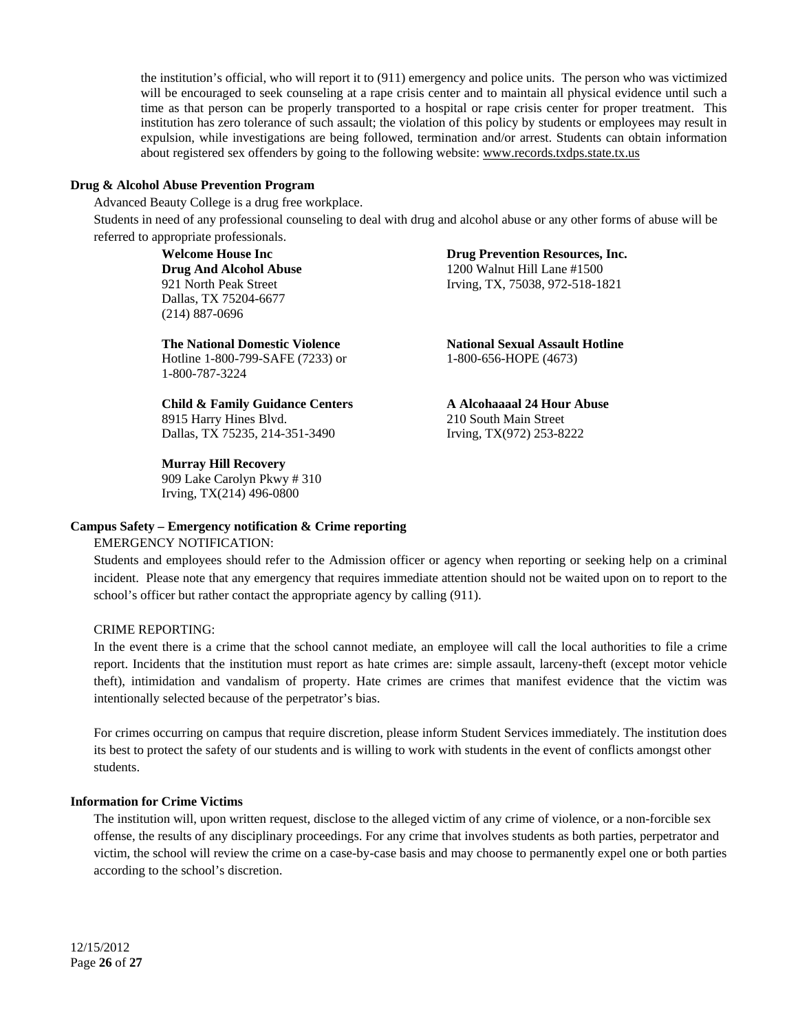the institution's official, who will report it to (911) emergency and police units. The person who was victimized will be encouraged to seek counseling at a rape crisis center and to maintain all physical evidence until such a time as that person can be properly transported to a hospital or rape crisis center for proper treatment. This institution has zero tolerance of such assault; the violation of this policy by students or employees may result in expulsion, while investigations are being followed, termination and/or arrest. Students can obtain information about registered sex offenders by going to the following website: www.records.txdps.state.tx.us

#### **Drug & Alcohol Abuse Prevention Program**

Advanced Beauty College is a drug free workplace.

Students in need of any professional counseling to deal with drug and alcohol abuse or any other forms of abuse will be referred to appropriate professionals.

> **Welcome House Inc Drug And Alcohol Abuse** 921 North Peak Street Dallas, TX 75204-6677 (214) 887-0696

**The National Domestic Violence**  Hotline 1-800-799-SAFE (7233) or 1-800-787-3224

**Child & Family Guidance Centers**  8915 Harry Hines Blvd. Dallas, TX 75235, 214-351-3490

#### **Murray Hill Recovery**

909 Lake Carolyn Pkwy # 310 Irving, TX(214) 496-0800

**Drug Prevention Resources, Inc.** 

1200 Walnut Hill Lane #1500 Irving, TX, 75038, 972-518-1821

**National Sexual Assault Hotline**  1-800-656-HOPE (4673)

**A Alcohaaaal 24 Hour Abuse**  210 South Main Street Irving, TX(972) 253-8222

#### **Campus Safety – Emergency notification & Crime reporting**

#### EMERGENCY NOTIFICATION:

Students and employees should refer to the Admission officer or agency when reporting or seeking help on a criminal incident. Please note that any emergency that requires immediate attention should not be waited upon on to report to the school's officer but rather contact the appropriate agency by calling (911).

#### CRIME REPORTING:

In the event there is a crime that the school cannot mediate, an employee will call the local authorities to file a crime report. Incidents that the institution must report as hate crimes are: simple assault, larceny-theft (except motor vehicle theft), intimidation and vandalism of property. Hate crimes are crimes that manifest evidence that the victim was intentionally selected because of the perpetrator's bias.

For crimes occurring on campus that require discretion, please inform Student Services immediately. The institution does its best to protect the safety of our students and is willing to work with students in the event of conflicts amongst other students.

# **Information for Crime Victims**

The institution will, upon written request, disclose to the alleged victim of any crime of violence, or a non-forcible sex offense, the results of any disciplinary proceedings. For any crime that involves students as both parties, perpetrator and victim, the school will review the crime on a case-by-case basis and may choose to permanently expel one or both parties according to the school's discretion.